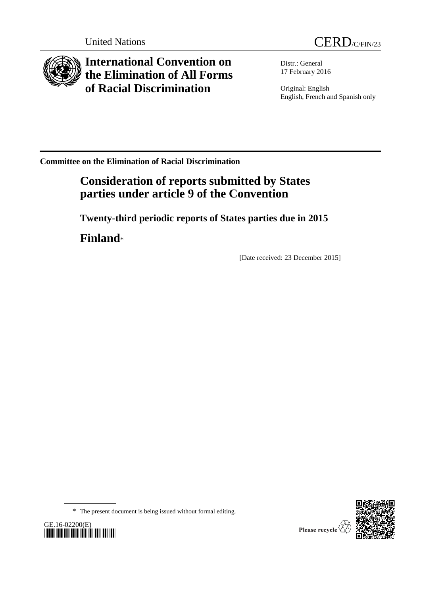



**International Convention on the Elimination of All Forms of Racial Discrimination**

Distr.: General 17 February 2016

Original: English English, French and Spanish only

**Committee on the Elimination of Racial Discrimination**

# **Consideration of reports submitted by States parties under article 9 of the Convention**

**Twenty-third periodic reports of States parties due in 2015**

**Finland**\*

[Date received: 23 December 2015]







Please recycle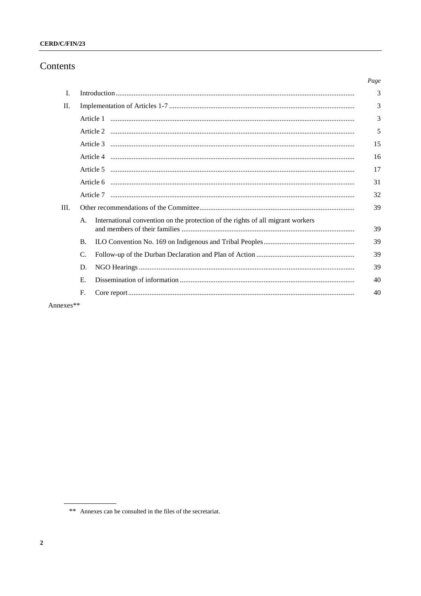# CERD/C/FIN/23

# Contents

|      |           |                                                                                 | Page |
|------|-----------|---------------------------------------------------------------------------------|------|
| L    |           |                                                                                 | 3    |
| П.   |           |                                                                                 |      |
|      |           |                                                                                 | 3    |
|      |           |                                                                                 | 5    |
|      |           |                                                                                 | 15   |
|      |           |                                                                                 | 16   |
|      |           |                                                                                 | 17   |
|      |           |                                                                                 | 31   |
|      |           |                                                                                 | 32   |
| III. |           |                                                                                 |      |
|      | A.        | International convention on the protection of the rights of all migrant workers | 39   |
|      | <b>B.</b> |                                                                                 | 39   |
|      | C.        |                                                                                 | 39   |
|      | D.        |                                                                                 | 39   |
|      | Е.        |                                                                                 | 40   |
|      | F.        |                                                                                 | 40   |
|      | ata ata   |                                                                                 |      |

Annexes\*\*

<sup>\*\*</sup> Annexes can be consulted in the files of the secretariat.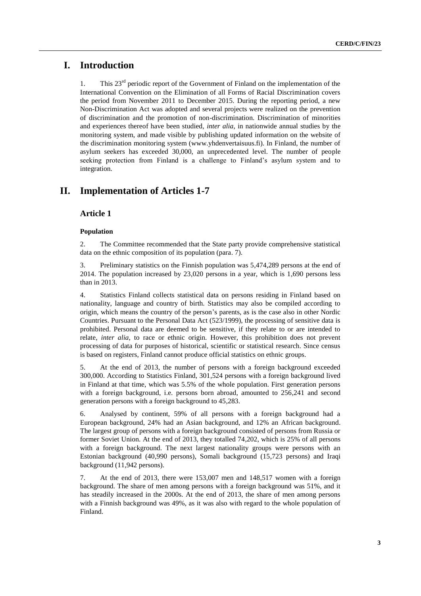# **I. Introduction**

1. This  $23<sup>rd</sup>$  periodic report of the Government of Finland on the implementation of the International Convention on the Elimination of all Forms of Racial Discrimination covers the period from November 2011 to December 2015. During the reporting period, a new Non-Discrimination Act was adopted and several projects were realized on the prevention of discrimination and the promotion of non-discrimination. Discrimination of minorities and experiences thereof have been studied, *inter alia*, in nationwide annual studies by the monitoring system, and made visible by publishing updated information on the website of the discrimination monitoring system (www.yhdenvertaisuus.fi). In Finland, the number of asylum seekers has exceeded 30,000, an unprecedented level. The number of people seeking protection from Finland is a challenge to Finland's asylum system and to integration.

# **II. Implementation of Articles 1-7**

# **Article 1**

# **Population**

2. The Committee recommended that the State party provide comprehensive statistical data on the ethnic composition of its population (para. 7).

3. Preliminary statistics on the Finnish population was 5,474,289 persons at the end of 2014. The population increased by 23,020 persons in a year, which is 1,690 persons less than in 2013.

4. Statistics Finland collects statistical data on persons residing in Finland based on [nationality,](http://www.stat.fi/tup/suoluk/suoluk_vaesto.html#ulkomaidenkansalaiset) [language](http://www.stat.fi/til/vaerak/2011/vaerak_2011_2012-03-16_tau_001_en.html) and country of birth. Statistics may also be compiled according to origin, which means the country of the person's parents, as is the case also in other Nordic Countries. Pursuant to the Personal Data Act (523/1999), the processing of sensitive data is prohibited. Personal data are deemed to be sensitive, if they relate to or are intended to relate, *inter alia*, to race or ethnic origin. However, this prohibition does not prevent processing of data for purposes of historical, scientific or statistical research. Since census is based on registers, Finland cannot produce official statistics on ethnic groups.

5. At the end of 2013, the number of persons with a foreign background exceeded 300,000. According to Statistics Finland, 301,524 persons with a foreign background lived in Finland at that time, which was 5.5% of the whole population. First generation persons with a foreign background, i.e. persons born abroad, amounted to 256,241 and second generation persons with a foreign background to 45,283.

6. Analysed by continent, 59% of all persons with a foreign background had a European background, 24% had an Asian background, and 12% an African background. The largest group of persons with a foreign background consisted of persons from Russia or former Soviet Union. At the end of 2013, they totalled 74,202, which is 25% of all persons with a foreign background. The next largest nationality groups were persons with an Estonian background (40,990 persons), Somali background (15,723 persons) and Iraqi background (11,942 persons).

7. At the end of 2013, there were 153,007 men and 148,517 women with a foreign background. The share of men among persons with a foreign background was 51%, and it has steadily increased in the 2000s. At the end of 2013, the share of men among persons with a Finnish background was 49%, as it was also with regard to the whole population of Finland.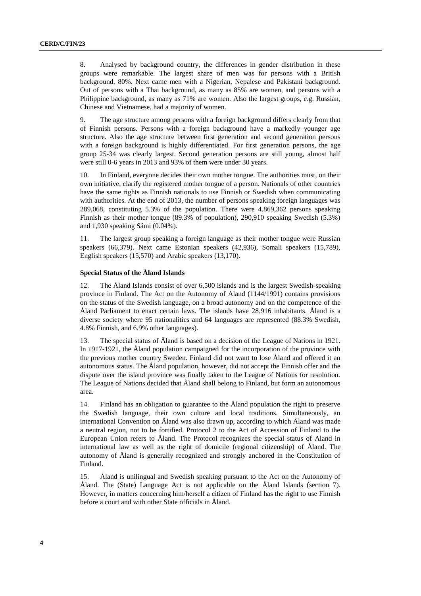8. Analysed by background country, the differences in gender distribution in these groups were remarkable. The largest share of men was for persons with a British background, 80%. Next came men with a Nigerian, Nepalese and Pakistani background. Out of persons with a Thai background, as many as 85% are women, and persons with a Philippine background, as many as 71% are women. Also the largest groups, e.g. Russian, Chinese and Vietnamese, had a majority of women.

9. The age structure among persons with a foreign background differs clearly from that of Finnish persons. Persons with a foreign background have a markedly younger age structure. Also the age structure between first generation and second generation persons with a foreign background is highly differentiated. For first generation persons, the age group 25-34 was clearly largest. Second generation persons are still young, almost half were still 0-6 years in 2013 and 93% of them were under 30 years.

10. In Finland, everyone decides their own mother tongue. The authorities must, on their own initiative, clarify the registered mother tongue of a person. Nationals of other countries have the same rights as Finnish nationals to use Finnish or Swedish when communicating with authorities. At the end of 2013, the number of persons speaking foreign languages was 289,068, constituting 5.3% of the population. There were 4,869,362 persons speaking Finnish as their mother tongue (89.3% of population), 290,910 speaking Swedish (5.3%) and 1,930 speaking Sámi (0.04%).

11. The largest group speaking a foreign language as their mother tongue were Russian speakers (66,379). Next came Estonian speakers (42,936), Somali speakers (15,789), English speakers (15,570) and Arabic speakers (13,170).

## **Special Status of the Åland Islands**

12. The Åland Islands consist of over 6,500 islands and is the largest Swedish-speaking province in Finland. The Act on the Autonomy of Aland (1144/1991) contains provisions on the status of the Swedish language, on a broad autonomy and on the competence of the Åland Parliament to enact certain laws. The islands have 28,916 inhabitants. Åland is a diverse society where 95 nationalities and 64 languages are represented (88.3% Swedish, 4.8% Finnish, and 6.9% other languages).

13. The special status of Åland is based on a decision of the League of Nations in 1921. In 1917-1921, the Åland population campaigned for the incorporation of the province with the previous mother country Sweden. Finland did not want to lose Åland and offered it an autonomous status. The Åland population, however, did not accept the Finnish offer and the dispute over the island province was finally taken to the League of Nations for resolution. The League of Nations decided that Åland shall belong to Finland, but form an autonomous area.

14. Finland has an obligation to guarantee to the Åland population the right to preserve the Swedish language, their own culture and local traditions. Simultaneously, an international Convention on Åland was also drawn up, according to which Åland was made a neutral region, not to be fortified. Protocol 2 to the Act of Accession of Finland to the European Union refers to Åland. The Protocol recognizes the special status of Aland in international law as well as the right of domicile (regional citizenship) of Åland. The autonomy of Åland is generally recognized and strongly anchored in the Constitution of Finland.

15. Åland is unilingual and Swedish speaking pursuant to the Act on the Autonomy of Åland. The (State) Language Act is not applicable on the Åland Islands (section 7). However, in matters concerning him/herself a citizen of Finland has the right to use Finnish before a court and with other State officials in Åland.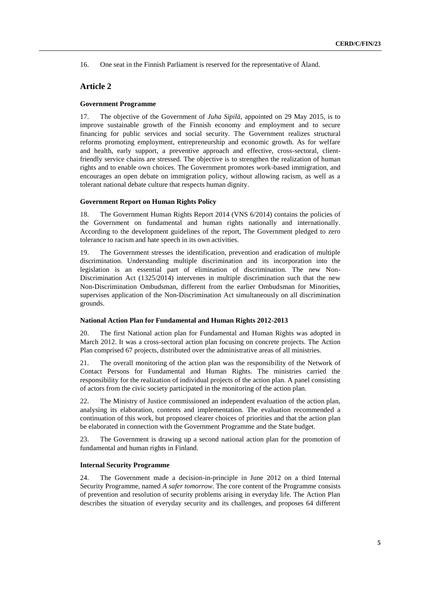16. One seat in the Finnish Parliament is reserved for the representative of Åland.

# **Article 2**

# **Government Programme**

17. The objective of the Government of *Juha Sipilä*, appointed on 29 May 2015, is to improve sustainable growth of the Finnish economy and employment and to secure financing for public services and social security. The Government realizes structural reforms promoting employment, entrepreneurship and economic growth. As for welfare and health, early support, a preventive approach and effective, cross-sectoral, clientfriendly service chains are stressed. The objective is to strengthen the realization of human rights and to enable own choices. The Government promotes work-based immigration, and encourages an open debate on immigration policy, without allowing racism, as well as a tolerant national debate culture that respects human dignity.

# **Government Report on Human Rights Policy**

18. The Government Human Rights Report 2014 (VNS 6/2014) contains the policies of the Government on fundamental and human rights nationally and internationally. According to the development guidelines of the report, The Government pledged to zero tolerance to racism and hate speech in its own activities.

19. The Government stresses the identification, prevention and eradication of multiple discrimination. Understanding multiple discrimination and its incorporation into the legislation is an essential part of elimination of discrimination. The new Non-Discrimination Act (1325/2014) intervenes in multiple discrimination such that the new Non-Discrimination Ombudsman, different from the earlier Ombudsman for Minorities, supervises application of the Non-Discrimination Act simultaneously on all discrimination grounds.

# **National Action Plan for Fundamental and Human Rights 2012-2013**

20. The first National action plan for Fundamental and Human Rights was adopted in March 2012. It was a cross-sectoral action plan focusing on concrete projects. The Action Plan comprised 67 projects, distributed over the administrative areas of all ministries.

21. The overall monitoring of the action plan was the responsibility of the Network of Contact Persons for Fundamental and Human Rights. The ministries carried the responsibility for the realization of individual projects of the action plan. A panel consisting of actors from the civic society participated in the monitoring of the action plan.

22. The Ministry of Justice commissioned an independent evaluation of the action plan, analysing its elaboration, contents and implementation. The evaluation recommended a continuation of this work, but proposed clearer choices of priorities and that the action plan be elaborated in connection with the Government Programme and the State budget.

23. The Government is drawing up a second national action plan for the promotion of fundamental and human rights in Finland.

### **Internal Security Programme**

24. The Government made a decision-in-principle in June 2012 on a third Internal Security Programme, named *A safer tomorrow.* The core content of the Programme consists of prevention and resolution of security problems arising in everyday life. The Action Plan describes the situation of everyday security and its challenges, and proposes 64 different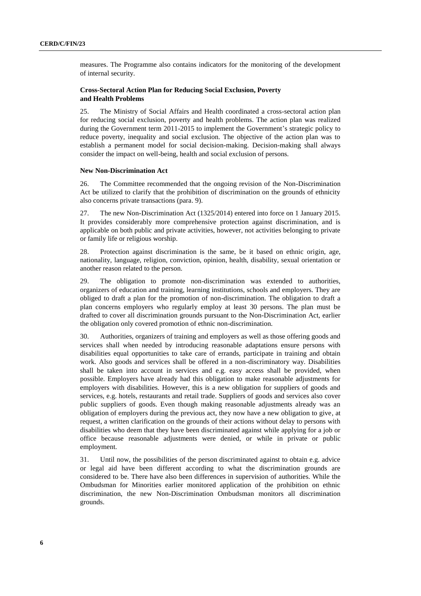measures. The Programme also contains indicators for the monitoring of the development of internal security.

# **Cross-Sectoral Action Plan for Reducing Social Exclusion, Poverty and Health Problems**

25. The Ministry of Social Affairs and Health coordinated a cross-sectoral action plan for reducing social exclusion, poverty and health problems. The action plan was realized during the Government term 2011-2015 to implement the Government's strategic policy to reduce poverty, inequality and social exclusion. The objective of the action plan was to establish a permanent model for social decision-making. Decision-making shall always consider the impact on well-being, health and social exclusion of persons.

# **New Non-Discrimination Act**

26. The Committee recommended that the ongoing revision of the Non-Discrimination Act be utilized to clarify that the prohibition of discrimination on the grounds of ethnicity also concerns private transactions (para. 9).

27. The new Non-Discrimination Act (1325/2014) entered into force on 1 January 2015. It provides considerably more comprehensive protection against discrimination, and is applicable on both public and private activities, however, not activities belonging to private or family life or religious worship.

28. Protection against discrimination is the same, be it based on ethnic origin, age, nationality, language, religion, conviction, opinion, health, disability, sexual orientation or another reason related to the person.

29. The obligation to promote non-discrimination was extended to authorities, organizers of education and training, learning institutions, schools and employers. They are obliged to draft a plan for the promotion of non-discrimination. The obligation to draft a plan concerns employers who regularly employ at least 30 persons. The plan must be drafted to cover all discrimination grounds pursuant to the Non-Discrimination Act, earlier the obligation only covered promotion of ethnic non-discrimination.

30. Authorities, organizers of training and employers as well as those offering goods and services shall when needed by introducing reasonable adaptations ensure persons with disabilities equal opportunities to take care of errands, participate in training and obtain work. Also goods and services shall be offered in a non-discriminatory way. Disabilities shall be taken into account in services and e.g. easy access shall be provided, when possible. Employers have already had this obligation to make reasonable adjustments for employers with disabilities. However, this is a new obligation for suppliers of goods and services, e.g. hotels, restaurants and retail trade. Suppliers of goods and services also cover public suppliers of goods. Even though making reasonable adjustments already was an obligation of employers during the previous act, they now have a new obligation to give, at request, a written clarification on the grounds of their actions without delay to persons with disabilities who deem that they have been discriminated against while applying for a job or office because reasonable adjustments were denied, or while in private or public employment.

31. Until now, the possibilities of the person discriminated against to obtain e.g. advice or legal aid have been different according to what the discrimination grounds are considered to be. There have also been differences in supervision of authorities. While the Ombudsman for Minorities earlier monitored application of the prohibition on ethnic discrimination, the new Non-Discrimination Ombudsman monitors all discrimination grounds.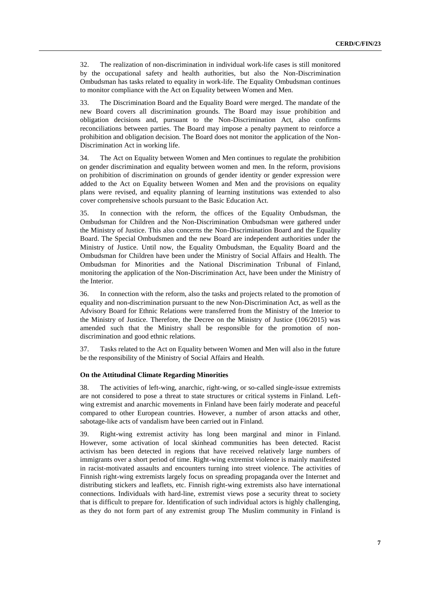32. The realization of non-discrimination in individual work-life cases is still monitored by the occupational safety and health authorities, but also the Non-Discrimination Ombudsman has tasks related to equality in work-life. The Equality Ombudsman continues to monitor compliance with the Act on Equality between Women and Men.

33. The Discrimination Board and the Equality Board were merged. The mandate of the new Board covers all discrimination grounds. The Board may issue prohibition and obligation decisions and, pursuant to the Non-Discrimination Act, also confirms reconciliations between parties. The Board may impose a penalty payment to reinforce a prohibition and obligation decision. The Board does not monitor the application of the Non-Discrimination Act in working life.

34. The Act on Equality between Women and Men continues to regulate the prohibition on gender discrimination and equality between women and men. In the reform, provisions on prohibition of discrimination on grounds of gender identity or gender expression were added to the Act on Equality between Women and Men and the provisions on equality plans were revised, and equality planning of learning institutions was extended to also cover comprehensive schools pursuant to the Basic Education Act.

35. In connection with the reform, the offices of the Equality Ombudsman, the Ombudsman for Children and the Non-Discrimination Ombudsman were gathered under the Ministry of Justice. This also concerns the Non-Discrimination Board and the Equality Board. The Special Ombudsmen and the new Board are independent authorities under the Ministry of Justice. Until now, the Equality Ombudsman, the Equality Board and the Ombudsman for Children have been under the Ministry of Social Affairs and Health. The Ombudsman for Minorities and the National Discrimination Tribunal of Finland, monitoring the application of the Non-Discrimination Act, have been under the Ministry of the Interior.

36. In connection with the reform, also the tasks and projects related to the promotion of equality and non-discrimination pursuant to the new Non-Discrimination Act, as well as the Advisory Board for Ethnic Relations were transferred from the Ministry of the Interior to the Ministry of Justice. Therefore, the Decree on the Ministry of Justice (106/2015) was amended such that the Ministry shall be responsible for the promotion of nondiscrimination and good ethnic relations.

37. Tasks related to the Act on Equality between Women and Men will also in the future be the responsibility of the Ministry of Social Affairs and Health.

# **On the Attitudinal Climate Regarding Minorities**

38. The activities of left-wing, anarchic, right-wing, or so-called single-issue extremists are not considered to pose a threat to state structures or critical systems in Finland. Leftwing extremist and anarchic movements in Finland have been fairly moderate and peaceful compared to other European countries. However, a number of arson attacks and other, sabotage-like acts of vandalism have been carried out in Finland.

39. Right-wing extremist activity has long been marginal and minor in Finland. However, some activation of local skinhead communities has been detected. Racist activism has been detected in regions that have received relatively large numbers of immigrants over a short period of time. Right-wing extremist violence is mainly manifested in racist-motivated assaults and encounters turning into street violence. The activities of Finnish right-wing extremists largely focus on spreading propaganda over the Internet and distributing stickers and leaflets, etc. Finnish right-wing extremists also have international connections. Individuals with hard-line, extremist views pose a security threat to society that is difficult to prepare for. Identification of such individual actors is highly challenging, as they do not form part of any extremist group The Muslim community in Finland is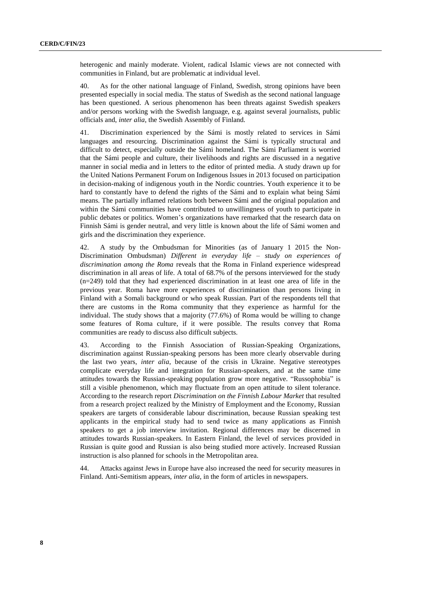heterogenic and mainly moderate. Violent, radical Islamic views are not connected with communities in Finland, but are problematic at individual level.

40. As for the other national language of Finland, Swedish, strong opinions have been presented especially in social media. The status of Swedish as the second national language has been questioned. A serious phenomenon has been threats against Swedish speakers and/or persons working with the Swedish language, e.g. against several journalists, public officials and, *inter alia*, the Swedish Assembly of Finland.

41. Discrimination experienced by the Sámi is mostly related to services in Sámi languages and resourcing. Discrimination against the Sámi is typically structural and difficult to detect, especially outside the Sámi homeland. The Sámi Parliament is worried that the Sámi people and culture, their livelihoods and rights are discussed in a negative manner in social media and in letters to the editor of printed media. A study drawn up for the United Nations Permanent Forum on Indigenous Issues in 2013 focused on participation in decision-making of indigenous youth in the Nordic countries. Youth experience it to be hard to constantly have to defend the rights of the Sámi and to explain what being Sámi means. The partially inflamed relations both between Sámi and the original population and within the Sámi communities have contributed to unwillingness of youth to participate in public debates or politics. Women's organizations have remarked that the research data on Finnish Sámi is gender neutral, and very little is known about the life of Sámi women and girls and the discrimination they experience.

42. A study by the Ombudsman for Minorities (as of January 1 2015 the Non-Discrimination Ombudsman) *Different in everyday life – study on experiences of discrimination among the Roma* reveals that the Roma in Finland experience widespread discrimination in all areas of life. A total of 68.7% of the persons interviewed for the study (n=249) told that they had experienced discrimination in at least one area of life in the previous year. Roma have more experiences of discrimination than persons living in Finland with a Somali background or who speak Russian. Part of the respondents tell that there are customs in the Roma community that they experience as harmful for the individual. The study shows that a majority (77.6%) of Roma would be willing to change some features of Roma culture, if it were possible. The results convey that Roma communities are ready to discuss also difficult subjects.

43. According to the Finnish Association of Russian-Speaking Organizations, discrimination against Russian-speaking persons has been more clearly observable during the last two years, *inter alia*, because of the crisis in Ukraine. Negative stereotypes complicate everyday life and integration for Russian-speakers, and at the same time attitudes towards the Russian-speaking population grow more negative. "Russophobia" is still a visible phenomenon, which may fluctuate from an open attitude to silent tolerance. According to the research report *Discrimination on the Finnish Labour Market* that resulted from a research project realized by the Ministry of Employment and the Economy, Russian speakers are targets of considerable labour discrimination, because Russian speaking test applicants in the empirical study had to send twice as many applications as Finnish speakers to get a job interview invitation. Regional differences may be discerned in attitudes towards Russian-speakers. In Eastern Finland, the level of services provided in Russian is quite good and Russian is also being studied more actively. Increased Russian instruction is also planned for schools in the Metropolitan area.

44. Attacks against Jews in Europe have also increased the need for security measures in Finland. Anti-Semitism appears, *inter alia*, in the form of articles in newspapers.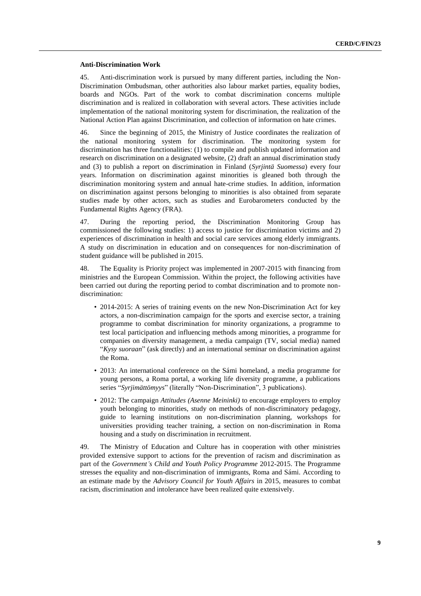#### **Anti-Discrimination Work**

45. Anti-discrimination work is pursued by many different parties, including the Non-Discrimination Ombudsman, other authorities also labour market parties, equality bodies, boards and NGOs. Part of the work to combat discrimination concerns multiple discrimination and is realized in collaboration with several actors. These activities include implementation of the national monitoring system for discrimination, the realization of the National Action Plan against Discrimination, and collection of information on hate crimes.

46. Since the beginning of 2015, the Ministry of Justice coordinates the realization of the national monitoring system for discrimination. The monitoring system for discrimination has three functionalities: (1) to compile and publish updated information and research on discrimination on a designated website, (2) draft an annual discrimination study and (3) to publish a report on discrimination in Finland (*Syrjintä Suomessa*) every four years. Information on discrimination against minorities is gleaned both through the discrimination monitoring system and annual hate-crime studies. In addition, information on discrimination against persons belonging to minorities is also obtained from separate studies made by other actors, such as studies and Eurobarometers conducted by the Fundamental Rights Agency (FRA).

47. During the reporting period, the Discrimination Monitoring Group has commissioned the following studies: 1) access to justice for discrimination victims and 2) experiences of discrimination in health and social care services among elderly immigrants. A study on discrimination in education and on consequences for non-discrimination of student guidance will be published in 2015.

48. The Equality is Priority project was implemented in 2007-2015 with financing from ministries and the European Commission. Within the project, the following activities have been carried out during the reporting period to combat discrimination and to promote nondiscrimination:

- 2014-2015: A series of training events on the new Non-Discrimination Act for key actors, a non-discrimination campaign for the sports and exercise sector, a training programme to combat discrimination for minority organizations, a programme to test local participation and influencing methods among minorities, a programme for companies on diversity management, a media campaign (TV, social media) named "*Kysy suoraan*" (ask directly) and an international seminar on discrimination against the Roma.
- 2013: An international conference on the Sámi homeland, a media programme for young persons, a Roma portal, a working life diversity programme, a publications series "*Syrjimättömyys*" (literally "Non-Discrimination", 3 publications).
- 2012: The campaign *Attitudes (Asenne Meininki)* to encourage employers to employ youth belonging to minorities, study on methods of non-discriminatory pedagogy, guide to learning institutions on non-discrimination planning, workshops for universities providing teacher training, a section on non-discrimination in Roma housing and a study on discrimination in recruitment.

49. The Ministry of Education and Culture has in cooperation with other ministries provided extensive support to actions for the prevention of racism and discrimination as part of the *Government's Child and Youth Policy Programme* 2012-2015. The Programme stresses the equality and non-discrimination of immigrants, Roma and Sámi. According to an estimate made by the *Advisory Council for Youth Affairs* in 2015, measures to combat racism, discrimination and intolerance have been realized quite extensively.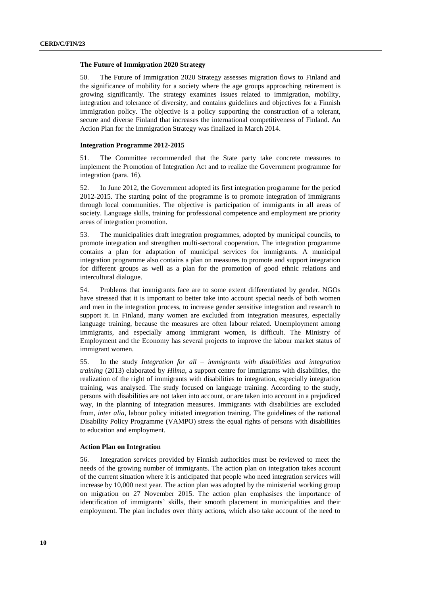## **The Future of Immigration 2020 Strategy**

50. The Future of Immigration 2020 Strategy assesses migration flows to Finland and the significance of mobility for a society where the age groups approaching retirement is growing significantly. The strategy examines issues related to immigration, mobility, integration and tolerance of diversity, and contains guidelines and objectives for a Finnish immigration policy. The objective is a policy supporting the construction of a tolerant, secure and diverse Finland that increases the international competitiveness of Finland. An Action Plan for the Immigration Strategy was finalized in March 2014.

### **Integration Programme 2012-2015**

51. The Committee recommended that the State party take concrete measures to implement the Promotion of Integration Act and to realize the Government programme for integration (para. 16).

52. In June 2012, the Government adopted its first integration programme for the period 2012-2015. The starting point of the programme is to promote integration of immigrants through local communities. The objective is participation of immigrants in all areas of society. Language skills, training for professional competence and employment are priority areas of integration promotion.

53. The municipalities draft integration programmes, adopted by municipal councils, to promote integration and strengthen multi-sectoral cooperation. The integration programme contains a plan for adaptation of municipal services for immigrants. A municipal integration programme also contains a plan on measures to promote and support integration for different groups as well as a plan for the promotion of good ethnic relations and intercultural dialogue.

54. Problems that immigrants face are to some extent differentiated by gender. NGOs have stressed that it is important to better take into account special needs of both women and men in the integration process, to increase gender sensitive integration and research to support it. In Finland, many women are excluded from integration measures, especially language training, because the measures are often labour related. Unemployment among immigrants, and especially among immigrant women, is difficult. The Ministry of Employment and the Economy has several projects to improve the labour market status of immigrant women.

55. In the study *Integration for all – immigrants with disabilities and integration training* (2013) elaborated by *Hilma*, a support centre for immigrants with disabilities, the realization of the right of immigrants with disabilities to integration, especially integration training, was analysed. The study focused on language training. According to the study, persons with disabilities are not taken into account, or are taken into account in a prejudiced way, in the planning of integration measures. Immigrants with disabilities are excluded from, *inter alia*, labour policy initiated integration training. The guidelines of the national Disability Policy Programme (VAMPO) stress the equal rights of persons with disabilities to education and employment.

### **Action Plan on Integration**

56. Integration services provided by Finnish authorities must be reviewed to meet the needs of the growing number of immigrants. The action plan on integration takes account of the current situation where it is anticipated that people who need integration services will increase by 10,000 next year. The action plan was adopted by the ministerial working group on migration on 27 November 2015. The action plan emphasises the importance of identification of immigrants' skills, their smooth placement in municipalities and their employment. The plan includes over thirty actions, which also take account of the need to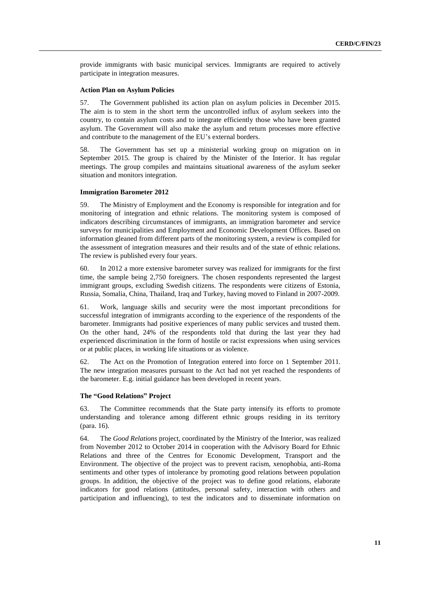provide immigrants with basic municipal services. Immigrants are required to actively participate in integration measures.

## **Action Plan on Asylum Policies**

57. The Government published its action plan on asylum policies in December 2015. The aim is to stem in the short term the uncontrolled influx of asylum seekers into the country, to contain asylum costs and to integrate efficiently those who have been granted asylum. The Government will also make the asylum and return processes more effective and contribute to the management of the EU's external borders.

58. The Government has set up a ministerial working group on migration on in September 2015. The group is chaired by the Minister of the Interior. It has regular meetings. The group compiles and maintains situational awareness of the asylum seeker situation and monitors integration.

# **Immigration Barometer 2012**

59. The Ministry of Employment and the Economy is responsible for integration and for monitoring of integration and ethnic relations. The monitoring system is composed of indicators describing circumstances of immigrants, an immigration barometer and service surveys for municipalities and Employment and Economic Development Offices. Based on information gleaned from different parts of the monitoring system, a review is compiled for the assessment of integration measures and their results and of the state of ethnic relations. The review is published every four years.

60. In 2012 a more extensive barometer survey was realized for immigrants for the first time, the sample being 2,750 foreigners. The chosen respondents represented the largest immigrant groups, excluding Swedish citizens. The respondents were citizens of Estonia, Russia, Somalia, China, Thailand, Iraq and Turkey, having moved to Finland in 2007-2009.

61. Work, language skills and security were the most important preconditions for successful integration of immigrants according to the experience of the respondents of the barometer. Immigrants had positive experiences of many public services and trusted them. On the other hand, 24% of the respondents told that during the last year they had experienced discrimination in the form of hostile or racist expressions when using services or at public places, in working life situations or as violence.

62. The Act on the Promotion of Integration entered into force on 1 September 2011. The new integration measures pursuant to the Act had not yet reached the respondents of the barometer. E.g. initial guidance has been developed in recent years.

## **The "Good Relations" Project**

63. The Committee recommends that the State party intensify its efforts to promote understanding and tolerance among different ethnic groups residing in its territory (para. 16).

64. The *Good Relations* project, coordinated by the Ministry of the Interior, was realized from November 2012 to October 2014 in cooperation with the Advisory Board for Ethnic Relations and three of the Centres for Economic Development, Transport and the Environment. The objective of the project was to prevent racism, xenophobia, anti-Roma sentiments and other types of intolerance by promoting good relations between population groups. In addition, the objective of the project was to define good relations, elaborate indicators for good relations (attitudes, personal safety, interaction with others and participation and influencing), to test the indicators and to disseminate information on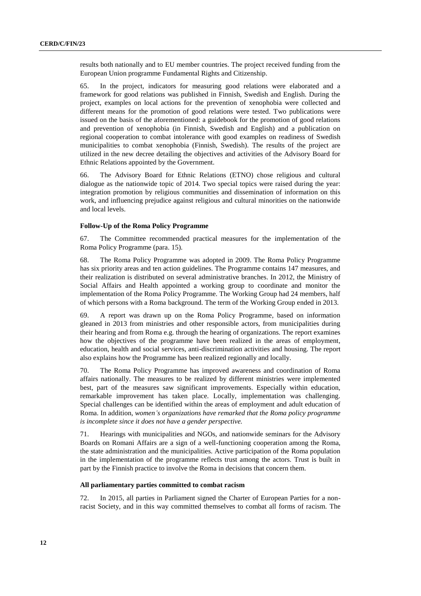results both nationally and to EU member countries. The project received funding from the European Union programme Fundamental Rights and Citizenship.

65. In the project, indicators for measuring good relations were elaborated and a framework for good relations was published in Finnish, Swedish and English. During the project, examples on local actions for the prevention of xenophobia were collected and different means for the promotion of good relations were tested. Two publications were issued on the basis of the aforementioned: a guidebook for the promotion of good relations and prevention of xenophobia (in Finnish, Swedish and English) and a publication on regional cooperation to combat intolerance with good examples on readiness of Swedish municipalities to combat xenophobia (Finnish, Swedish). The results of the project are utilized in the new decree detailing the objectives and activities of the Advisory Board for Ethnic Relations appointed by the Government.

66. The Advisory Board for Ethnic Relations (ETNO) chose religious and cultural dialogue as the nationwide topic of 2014. Two special topics were raised during the year: integration promotion by religious communities and dissemination of information on this work, and influencing prejudice against religious and cultural minorities on the nationwide and local levels.

#### **Follow-Up of the Roma Policy Programme**

67. The Committee recommended practical measures for the implementation of the Roma Policy Programme (para. 15).

68. The Roma Policy Programme was adopted in 2009. The Roma Policy Programme has six priority areas and ten action guidelines. The Programme contains 147 measures, and their realization is distributed on several administrative branches. In 2012, the Ministry of Social Affairs and Health appointed a working group to coordinate and monitor the implementation of the Roma Policy Programme. The Working Group had 24 members, half of which persons with a Roma background. The term of the Working Group ended in 2013.

69. A report was drawn up on the Roma Policy Programme, based on information gleaned in 2013 from ministries and other responsible actors, from municipalities during their hearing and from Roma e.g. through the hearing of organizations. The report examines how the objectives of the programme have been realized in the areas of employment, education, health and social services, anti-discrimination activities and housing. The report also explains how the Programme has been realized regionally and locally.

70. The Roma Policy Programme has improved awareness and coordination of Roma affairs nationally. The measures to be realized by different ministries were implemented best, part of the measures saw significant improvements. Especially within education, remarkable improvement has taken place. Locally, implementation was challenging. Special challenges can be identified within the areas of employment and adult education of Roma. In addition, *women's organizations have remarked that the Roma policy programme is incomplete since it does not have a gender perspective.* 

71. Hearings with municipalities and NGOs, and nationwide seminars for the Advisory Boards on Romani Affairs are a sign of a well-functioning cooperation among the Roma, the state administration and the municipalities. Active participation of the Roma population in the implementation of the programme reflects trust among the actors. Trust is built in part by the Finnish practice to involve the Roma in decisions that concern them.

# **All parliamentary parties committed to combat racism**

72. In 2015, all parties in Parliament signed the Charter of European Parties for a nonracist Society, and in this way committed themselves to combat all forms of racism. The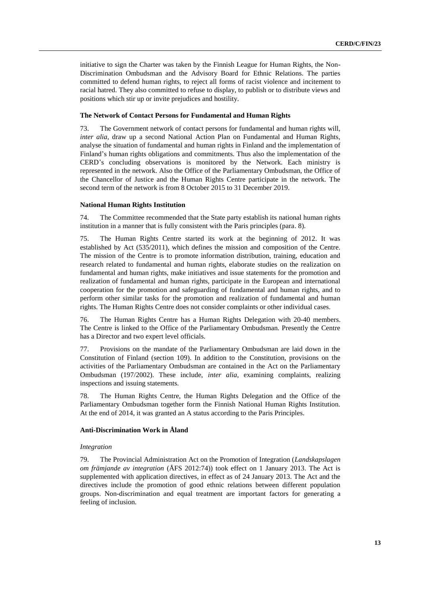initiative to sign the Charter was taken by the Finnish League for Human Rights, the Non-Discrimination Ombudsman and the Advisory Board for Ethnic Relations. The parties committed to defend human rights, to reject all forms of racist violence and incitement to racial hatred. They also committed to refuse to display, to publish or to distribute views and positions which stir up or invite prejudices and hostility.

# **The Network of Contact Persons for Fundamental and Human Rights**

73. The Government network of contact persons for fundamental and human rights will, *inter alia*, draw up a second National Action Plan on Fundamental and Human Rights, analyse the situation of fundamental and human rights in Finland and the implementation of Finland's human rights obligations and commitments. Thus also the implementation of the CERD's concluding observations is monitored by the Network. Each ministry is represented in the network. Also the Office of the Parliamentary Ombudsman, the Office of the Chancellor of Justice and the Human Rights Centre participate in the network. The second term of the network is from 8 October 2015 to 31 December 2019.

# **National Human Rights Institution**

74. The Committee recommended that the State party establish its national human rights institution in a manner that is fully consistent with the Paris principles (para. 8).

75. The Human Rights Centre started its work at the beginning of 2012. It was established by [Act](http://www.finlex.fi/fi/laki/ajantasa/2002/20020197#L3a) (535/2011), which defines the mission and composition of the Centre. The mission of the Centre is to promote information distribution, training, education and research related to fundamental and human rights, elaborate studies on the realization on fundamental and human rights, make initiatives and issue statements for the promotion and realization of fundamental and human rights, participate in the European and international cooperation for the promotion and safeguarding of fundamental and human rights, and to perform other similar tasks for the promotion and realization of fundamental and human rights. The Human Rights Centre does not consider complaints or other individual cases.

76. The Human Rights Centre has a Human Rights Delegation with 20-40 members. The Centre is linked to the Office of the Parliamentary Ombudsman. Presently the Centre has a Director and two expert level officials.

77. Provisions on the mandate of the Parliamentary Ombudsman are laid down in the Constitution of Finland (section 109). In addition to the Constitution, provisions on the activities of the Parliamentary Ombudsman are contained in the Act on the Parliamentary Ombudsman (197/2002). These include, *inter alia*, examining complaints, realizing inspections and issuing statements.

78. The Human Rights Centre, the Human Rights Delegation and the Office of the Parliamentary Ombudsman together form the Finnish National Human Rights Institution. At the end of 2014, it was granted an A status according to the Paris Principles.

# **Anti-Discrimination Work in Åland**

# *Integration*

79. The Provincial Administration Act on the Promotion of Integration (*Landskapslagen om främjande av integration* (ÅFS 2012:74)) took effect on 1 January 2013. The Act is supplemented with application directives, in effect as of 24 January 2013. The Act and the directives include the promotion of good ethnic relations between different population groups. Non-discrimination and equal treatment are important factors for generating a feeling of inclusion.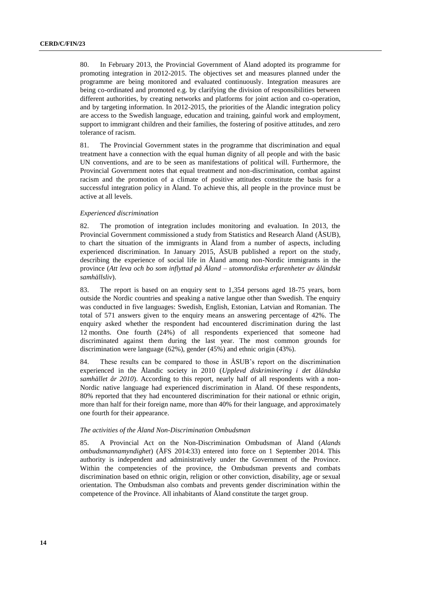80. In February 2013, the Provincial Government of Åland adopted its programme for promoting integration in 2012-2015. The objectives set and measures planned under the programme are being monitored and evaluated continuously. Integration measures are being co-ordinated and promoted e.g. by clarifying the division of responsibilities between different authorities, by creating networks and platforms for joint action and co-operation, and by targeting information. In 2012-2015, the priorities of the Ålandic integration policy are access to the Swedish language, education and training, gainful work and employment, support to immigrant children and their families, the fostering of positive attitudes, and zero tolerance of racism.

81. The Provincial Government states in the programme that discrimination and equal treatment have a connection with the equal human dignity of all people and with the basic UN conventions, and are to be seen as manifestations of political will. Furthermore, the Provincial Government notes that equal treatment and non-discrimination, combat against racism and the promotion of a climate of positive attitudes constitute the basis for a successful integration policy in Åland. To achieve this, all people in the province must be active at all levels.

# *Experienced discrimination*

82. The promotion of integration includes monitoring and evaluation. In 2013, the Provincial Government commissioned a study from Statistics and Research Åland (ÅSUB), to chart the situation of the immigrants in Åland from a number of aspects, including experienced discrimination. In January 2015, ÅSUB published a report on the study, describing the experience of social life in Åland among non-Nordic immigrants in the province (*Att leva och bo som inflyttad på Åland – utomnordiska erfarenheter av åländskt samhällsliv*).

83. The report is based on an enquiry sent to 1,354 persons aged 18-75 years, born outside the Nordic countries and speaking a native langue other than Swedish. The enquiry was conducted in five languages: Swedish, English, Estonian, Latvian and Romanian. The total of 571 answers given to the enquiry means an answering percentage of 42%. The enquiry asked whether the respondent had encountered discrimination during the last 12 months. One fourth (24%) of all respondents experienced that someone had discriminated against them during the last year. The most common grounds for discrimination were language (62%), gender (45%) and ethnic origin (43%).

84. These results can be compared to those in ÅSUB's report on the discrimination experienced in the Ålandic society in 2010 (*Upplevd diskriminering i det åländska samhället år 2010*). According to this report, nearly half of all respondents with a non-Nordic native language had experienced discrimination in Åland. Of these respondents, 80% reported that they had encountered discrimination for their national or ethnic origin, more than half for their foreign name, more than 40% for their language, and approximately one fourth for their appearance.

#### *The activities of the Åland Non-Discrimination Ombudsman*

85. A Provincial Act on the Non-Discrimination Ombudsman of Åland (*Alands ombudsmannamyndighet*) (ÅFS 2014:33) entered into force on 1 September 2014. This authority is independent and administratively under the Government of the Province. Within the competencies of the province, the Ombudsman prevents and combats discrimination based on ethnic origin, religion or other conviction, disability, age or sexual orientation. The Ombudsman also combats and prevents gender discrimination within the competence of the Province. All inhabitants of Åland constitute the target group.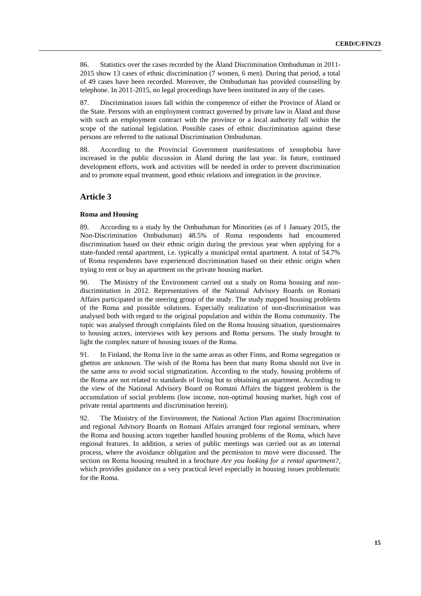86. Statistics over the cases recorded by the Åland Discrimination Ombudsman in 2011- 2015 show 13 cases of ethnic discrimination (7 women, 6 men). During that period, a total of 49 cases have been recorded. Moreover, the Ombudsman has provided counselling by telephone. In 2011-2015, no legal proceedings have been instituted in any of the cases.

87. Discrimination issues fall within the competence of either the Province of Åland or the State. Persons with an employment contract governed by private law in Åland and those with such an employment contract with the province or a local authority fall within the scope of the national legislation. Possible cases of ethnic discrimination against these persons are referred to the national Discrimination Ombudsman.

88. According to the Provincial Government manifestations of xenophobia have increased in the public discussion in Åland during the last year. In future, continued development efforts, work and activities will be needed in order to prevent discrimination and to promote equal treatment, good ethnic relations and integration in the province.

# **Article 3**

# **Roma and Housing**

89. According to a study by the Ombudsman for Minorities (as of 1 January 2015, the Non-Discrimination Ombudsman) 48.5% of Roma respondents had encountered discrimination based on their ethnic origin during the previous year when applying for a state-funded rental apartment, i.e. typically a municipal rental apartment. A total of 54.7% of Roma respondents have experienced discrimination based on their ethnic origin when trying to rent or buy an apartment on the private housing market.

90. The Ministry of the Environment carried out a study on Roma housing and nondiscrimination in 2012. Representatives of the National Advisory Boards on Romani Affairs participated in the steering group of the study. The study mapped housing problems of the Roma and possible solutions. Especially realization of non-discrimination was analysed both with regard to the original population and within the Roma community. The topic was analysed through complaints filed on the Roma housing situation, questionnaires to housing actors, interviews with key persons and Roma persons. The study brought to light the complex nature of housing issues of the Roma.

91. In Finland, the Roma live in the same areas as other Finns, and Roma segregation or ghettos are unknown. The wish of the Roma has been that many Roma should not live in the same area to avoid social stigmatization. According to the study, housing problems of the Roma are not related to standards of living but to obtaining an apartment. According to the view of the National Advisory Board on Romani Affairs the biggest problem is the accumulation of social problems (low income, non-optimal housing market, high cost of private rental apartments and discrimination herein).

92. The Ministry of the Environment, the National Action Plan against Discrimination and regional Advisory Boards on Romani Affairs arranged four regional seminars, where the Roma and housing actors together handled housing problems of the Roma, which have regional features. In addition, a series of public meetings was carried out as an internal process, where the avoidance obligation and the permission to move were discussed. The section on Roma housing resulted in a brochure *Are you looking for a rental apartment?*, which provides guidance on a very practical level especially in housing issues problematic for the Roma.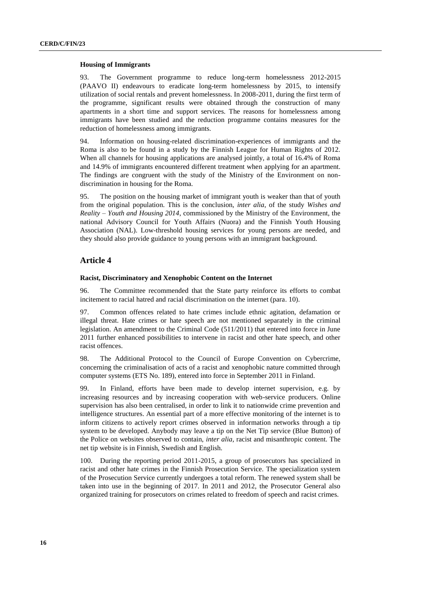#### **Housing of Immigrants**

93. The Government programme to reduce long-term homelessness 2012-2015 (PAAVO II) endeavours to eradicate long-term homelessness by 2015, to intensify utilization of social rentals and prevent homelessness. In 2008-2011, during the first term of the programme, significant results were obtained through the construction of many apartments in a short time and support services. The reasons for homelessness among immigrants have been studied and the reduction programme contains measures for the reduction of homelessness among immigrants.

94. Information on housing-related discrimination-experiences of immigrants and the Roma is also to be found in a study by the Finnish League for Human Rights of 2012. When all channels for housing applications are analysed jointly, a total of 16.4% of Roma and 14.9% of immigrants encountered different treatment when applying for an apartment. The findings are congruent with the study of the Ministry of the Environment on nondiscrimination in housing for the Roma.

95. The position on the housing market of immigrant youth is weaker than that of youth from the original population. This is the conclusion, *inter alia*, of the study *Wishes and Reality – Youth and Housing 2014*, commissioned by the Ministry of the Environment, the national Advisory Council for Youth Affairs (Nuora) and the Finnish Youth Housing Association (NAL). Low-threshold housing services for young persons are needed, and they should also provide guidance to young persons with an immigrant background.

# **Article 4**

## **Racist, Discriminatory and Xenophobic Content on the Internet**

96. The Committee recommended that the State party reinforce its efforts to combat incitement to racial hatred and racial discrimination on the internet (para. 10).

97. Common offences related to hate crimes include ethnic agitation, defamation or illegal threat. Hate crimes or hate speech are not mentioned separately in the criminal legislation. An amendment to the Criminal Code (511/2011) that entered into force in June 2011 further enhanced possibilities to intervene in racist and other hate speech, and other racist offences.

98. The Additional Protocol to the Council of Europe Convention on Cybercrime, concerning the criminalisation of acts of a racist and xenophobic nature committed through computer systems (ETS No. 189), entered into force in September 2011 in Finland.

99. In Finland, efforts have been made to develop internet supervision, e.g. by increasing resources and by increasing cooperation with web-service producers. Online supervision has also been centralised, in order to link it to nationwide crime prevention and intelligence structures. An essential part of a more effective monitoring of the internet is to inform citizens to actively report crimes observed in information networks through a tip system to be developed. Anybody may leave a tip on the Net Tip service (Blue Button) of the Police on websites observed to contain, *inter alia*, racist and misanthropic content. The net tip website is in Finnish, Swedish and English.

100. During the reporting period 2011-2015, a group of prosecutors has specialized in racist and other hate crimes in the Finnish Prosecution Service. The specialization system of the Prosecution Service currently undergoes a total reform. The renewed system shall be taken into use in the beginning of 2017. In 2011 and 2012, the Prosecutor General also organized training for prosecutors on crimes related to freedom of speech and racist crimes.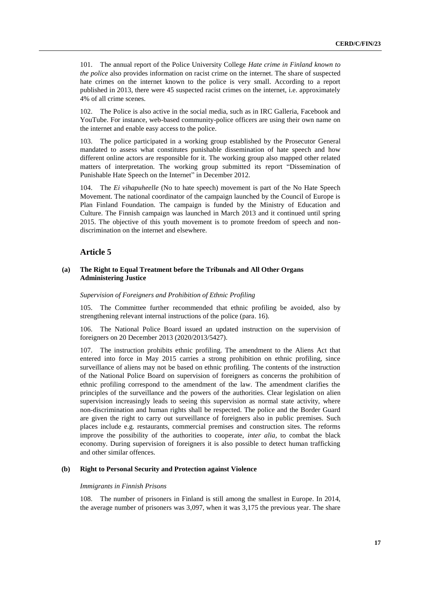101. The annual report of the Police University College *Hate crime in Finland known to the police* also provides information on racist crime on the internet. The share of suspected hate crimes on the internet known to the police is very small. According to a report published in 2013, there were 45 suspected racist crimes on the internet, i.e. approximately 4% of all crime scenes.

102. The Police is also active in the social media, such as in IRC Galleria, Facebook and YouTube. For instance, web-based community-police officers are using their own name on the internet and enable easy access to the police.

103. The police participated in a working group established by the Prosecutor General mandated to assess what constitutes punishable dissemination of hate speech and how different online actors are responsible for it. The working group also mapped other related matters of interpretation. The working group submitted its report "Dissemination of Punishable Hate Speech on the Internet" in December 2012.

104. The *Ei vihapuheelle* (No to hate speech) movement is part of the No Hate Speech Movement. The national coordinator of the campaign launched by the Council of Europe is Plan Finland Foundation. The campaign is funded by the Ministry of Education and Culture. The Finnish campaign was launched in March 2013 and it continued until spring 2015. The objective of this youth movement is to promote freedom of speech and nondiscrimination on the internet and elsewhere.

# **Article 5**

# **(a) The Right to Equal Treatment before the Tribunals and All Other Organs Administering Justice**

#### *Supervision of Foreigners and Prohibition of Ethnic Profiling*

105. The Committee further recommended that ethnic profiling be avoided, also by strengthening relevant internal instructions of the police (para. 16).

106. The National Police Board issued an updated instruction on the supervision of foreigners on 20 December 2013 (2020/2013/5427).

107. The instruction prohibits ethnic profiling. The amendment to the Aliens Act that entered into force in May 2015 carries a strong prohibition on ethnic profiling, since surveillance of aliens may not be based on ethnic profiling. The contents of the instruction of the National Police Board on supervision of foreigners as concerns the prohibition of ethnic profiling correspond to the amendment of the law. The amendment clarifies the principles of the surveillance and the powers of the authorities. Clear legislation on alien supervision increasingly leads to seeing this supervision as normal state activity, where non-discrimination and human rights shall be respected. The police and the Border Guard are given the right to carry out surveillance of foreigners also in public premises. Such places include e.g. restaurants, commercial premises and construction sites. The reforms improve the possibility of the authorities to cooperate, *inter alia*, to combat the black economy. During supervision of foreigners it is also possible to detect human trafficking and other similar offences.

# **(b) Right to Personal Security and Protection against Violence**

## *Immigrants in Finnish Prisons*

108. The number of prisoners in Finland is still among the smallest in Europe. In 2014, the average number of prisoners was 3,097, when it was 3,175 the previous year. The share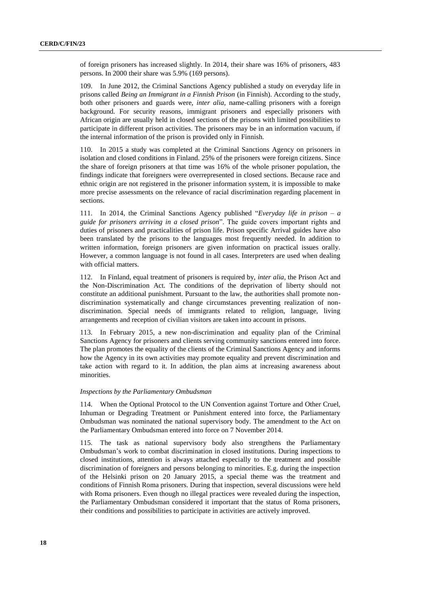of foreign prisoners has increased slightly. In 2014, their share was 16% of prisoners, 483 persons. In 2000 their share was 5.9% (169 persons).

109. In June 2012, the Criminal Sanctions Agency published a study on everyday life in prisons called *Being an Immigrant in a Finnish Prison* (in Finnish). According to the study, both other prisoners and guards were, *inter alia*, name-calling prisoners with a foreign background. For security reasons, immigrant prisoners and especially prisoners with African origin are usually held in closed sections of the prisons with limited possibilities to participate in different prison activities. The prisoners may be in an information vacuum, if the internal information of the prison is provided only in Finnish.

110. In 2015 a study was completed at the Criminal Sanctions Agency on prisoners in isolation and closed conditions in Finland. 25% of the prisoners were foreign citizens. Since the share of foreign prisoners at that time was 16% of the whole prisoner population, the findings indicate that foreigners were overrepresented in closed sections. Because race and ethnic origin are not registered in the prisoner information system, it is impossible to make more precise assessments on the relevance of racial discrimination regarding placement in sections.

111. In 2014, the Criminal Sanctions Agency published "*Everyday life in prison – a guide for prisoners arriving in a closed prison*". The guide covers important rights and duties of prisoners and practicalities of prison life. Prison specific Arrival guides have also been translated by the prisons to the languages most frequently needed. In addition to written information, foreign prisoners are given information on practical issues orally. However, a common language is not found in all cases. Interpreters are used when dealing with official matters.

112. In Finland, equal treatment of prisoners is required by, *inter alia*, the Prison Act and the Non-Discrimination Act. The conditions of the deprivation of liberty should not constitute an additional punishment. Pursuant to the law, the authorities shall promote nondiscrimination systematically and change circumstances preventing realization of nondiscrimination. Special needs of immigrants related to religion, language, living arrangements and reception of civilian visitors are taken into account in prisons.

113. In February 2015, a new non-discrimination and equality plan of the Criminal Sanctions Agency for prisoners and clients serving community sanctions entered into force. The plan promotes the equality of the clients of the Criminal Sanctions Agency and informs how the Agency in its own activities may promote equality and prevent discrimination and take action with regard to it. In addition, the plan aims at increasing awareness about minorities.

# *Inspections by the Parliamentary Ombudsman*

114. When the Optional Protocol to the UN Convention against Torture and Other Cruel, Inhuman or Degrading Treatment or Punishment entered into force, the Parliamentary Ombudsman was nominated the national supervisory body. The amendment to the Act on the Parliamentary Ombudsman entered into force on 7 November 2014.

115. The task as national supervisory body also strengthens the Parliamentary Ombudsman's work to combat discrimination in closed institutions. During inspections to closed institutions, attention is always attached especially to the treatment and possible discrimination of foreigners and persons belonging to minorities. E.g. during the inspection of the Helsinki prison on 20 January 2015, a special theme was the treatment and conditions of Finnish Roma prisoners. During that inspection, several discussions were held with Roma prisoners. Even though no illegal practices were revealed during the inspection, the Parliamentary Ombudsman considered it important that the status of Roma prisoners, their conditions and possibilities to participate in activities are actively improved.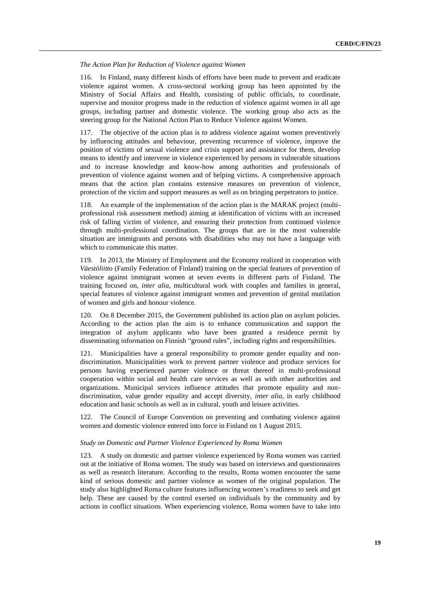# *The Action Plan for Reduction of Violence against Women*

116. In Finland, many different kinds of efforts have been made to prevent and eradicate violence against women. A cross-sectoral working group has been appointed by the Ministry of Social Affairs and Health, consisting of public officials, to coordinate, supervise and monitor progress made in the reduction of violence against women in all age groups, including partner and domestic violence. The working group also acts as the steering group for the National Action Plan to Reduce Violence against Women.

117. The objective of the action plan is to address violence against women preventively by influencing attitudes and behaviour, preventing recurrence of violence, improve the position of victims of sexual violence and crisis support and assistance for them, develop means to identify and intervene in violence experienced by persons in vulnerable situations and to increase knowledge and know-how among authorities and professionals of prevention of violence against women and of helping victims. A comprehensive approach means that the action plan contains extensive measures on prevention of violence, protection of the victim and support measures as well as on bringing perpetrators to justice.

An example of the implementation of the action plan is the MARAK project (multiprofessional risk assessment method) aiming at identification of victims with an increased risk of falling victim of violence, and ensuring their protection from continued violence through multi-professional coordination. The groups that are in the most vulnerable situation are immigrants and persons with disabilities who may not have a language with which to communicate this matter.

119. In 2013, the Ministry of Employment and the Economy realized in cooperation with *Väestöliitto* (Family Federation of Finland) training on the special features of prevention of violence against immigrant women at seven events in different parts of Finland. The training focused on, *inter alia*, multicultural work with couples and families in general, special features of violence against immigrant women and prevention of genital mutilation of women and girls and honour violence.

120. On 8 December 2015, the Government published its action plan on asylum policies. According to the action plan the aim is to enhance communication and support the integration of asylum applicants who have been granted a residence permit by disseminating information on Finnish "ground rules", including rights and responsibilities.

121. Municipalities have a general responsibility to promote gender equality and nondiscrimination. Municipalities work to prevent partner violence and produce services for persons having experienced partner violence or threat thereof in multi-professional cooperation within social and health care services as well as with other authorities and organizations. Municipal services influence attitudes that promote equality and nondiscrimination, value gender equality and accept diversity, *inter alia*, in early childhood education and basic schools as well as in cultural, youth and leisure activities.

122. The Council of Europe Convention on preventing and combating violence against women and domestic violence entered into force in Finland on 1 August 2015.

# *Study on Domestic and Partner Violence Experienced by Roma Women*

123. A study on domestic and partner violence experienced by Roma women was carried out at the initiative of Roma women. The study was based on interviews and questionnaires as well as research literature. According to the results, Roma women encounter the same kind of serious domestic and partner violence as women of the original population. The study also highlighted Roma culture features influencing women's readiness to seek and get help. These are caused by the control exerted on individuals by the community and by actions in conflict situations. When experiencing violence, Roma women have to take into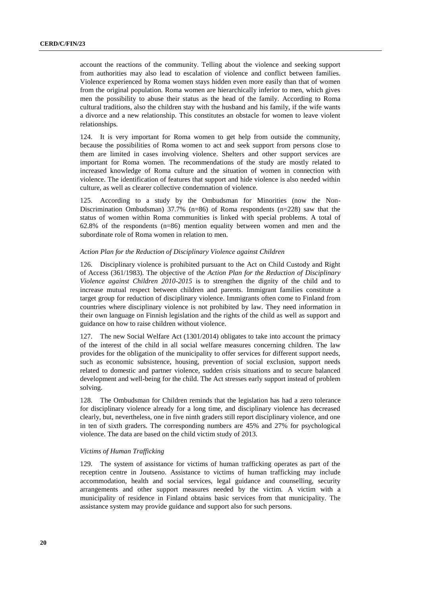account the reactions of the community. Telling about the violence and seeking support from authorities may also lead to escalation of violence and conflict between families. Violence experienced by Roma women stays hidden even more easily than that of women from the original population. Roma women are hierarchically inferior to men, which gives men the possibility to abuse their status as the head of the family. According to Roma cultural traditions, also the children stay with the husband and his family, if the wife wants a divorce and a new relationship. This constitutes an obstacle for women to leave violent relationships.

124. It is very important for Roma women to get help from outside the community, because the possibilities of Roma women to act and seek support from persons close to them are limited in cases involving violence. Shelters and other support services are important for Roma women. The recommendations of the study are mostly related to increased knowledge of Roma culture and the situation of women in connection with violence. The identification of features that support and hide violence is also needed within culture, as well as clearer collective condemnation of violence.

125. According to a study by the Ombudsman for Minorities (now the Non-Discrimination Ombudsman) 37.7% ( $n=86$ ) of Roma respondents ( $n=228$ ) saw that the status of women within Roma communities is linked with special problems. A total of 62.8% of the respondents (n=86) mention equality between women and men and the subordinate role of Roma women in relation to men.

# *Action Plan for the Reduction of Disciplinary Violence against Children*

126. Disciplinary violence is prohibited pursuant to the Act on Child Custody and Right of Access (361/1983). The objective of the *Action Plan for the Reduction of Disciplinary Violence against Children 2010-2015* is to strengthen the dignity of the child and to increase mutual respect between children and parents. Immigrant families constitute a target group for reduction of disciplinary violence. Immigrants often come to Finland from countries where disciplinary violence is not prohibited by law. They need information in their own language on Finnish legislation and the rights of the child as well as support and guidance on how to raise children without violence.

127. The new Social Welfare Act (1301/2014) obligates to take into account the primacy of the interest of the child in all social welfare measures concerning children. The law provides for the obligation of the municipality to offer services for different support needs, such as economic subsistence, housing, prevention of social exclusion, support needs related to domestic and partner violence, sudden crisis situations and to secure balanced development and well-being for the child. The Act stresses early support instead of problem solving.

128. The Ombudsman for Children reminds that the legislation has had a zero tolerance for disciplinary violence already for a long time, and disciplinary violence has decreased clearly, but, nevertheless, one in five ninth graders still report disciplinary violence, and one in ten of sixth graders. The corresponding numbers are 45% and 27% for psychological violence. The data are based on the child victim study of 2013.

## *Victims of Human Trafficking*

129. The system of assistance for victims of human trafficking operates as part of the reception centre in Joutseno. Assistance to victims of human trafficking may include accommodation, health and social services, legal guidance and counselling, security arrangements and other support measures needed by the victim. A victim with a municipality of residence in Finland obtains basic services from that municipality. The assistance system may provide guidance and support also for such persons.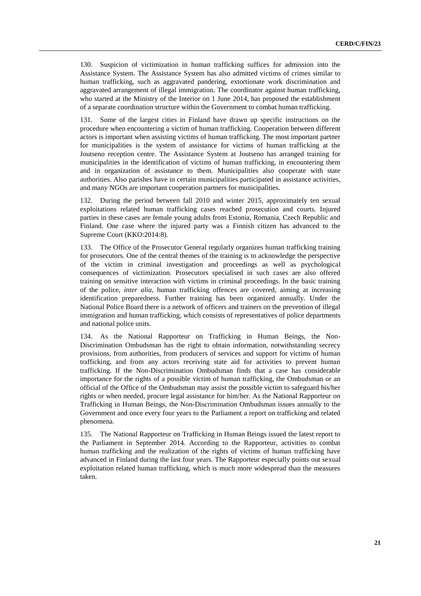130. Suspicion of victimization in human trafficking suffices for admission into the Assistance System. The Assistance System has also admitted victims of crimes similar to human trafficking, such as aggravated pandering, extortionate work discrimination and aggravated arrangement of illegal immigration. The coordinator against human trafficking, who started at the Ministry of the Interior on 1 June 2014, has proposed the establishment of a separate coordination structure within the Government to combat human trafficking.

131. Some of the largest cities in Finland have drawn up specific instructions on the procedure when encountering a victim of human trafficking. Cooperation between different actors is important when assisting victims of human trafficking. The most important partner for municipalities is the system of assistance for victims of human trafficking at the Joutseno reception centre. The Assistance System at Joutseno has arranged training for municipalities in the identification of victims of human trafficking, in encountering them and in organization of assistance to them. Municipalities also cooperate with state authorities. Also parishes have in certain municipalities participated in assistance activities, and many NGOs are important cooperation partners for municipalities.

132. During the period between fall 2010 and winter 2015, approximately ten sexual exploitations related human trafficking cases reached prosecution and courts. Injured parties in these cases are female young adults from Estonia, Romania, Czech Republic and Finland. One case where the injured party was a Finnish citizen has advanced to the Supreme Court (KKO:2014:8).

133. The Office of the Prosecutor General regularly organizes human trafficking training for prosecutors. One of the central themes of the training is to acknowledge the perspective of the victim in criminal investigation and proceedings as well as psychological consequences of victimization. Prosecutors specialised in such cases are also offered training on sensitive interaction with victims in criminal proceedings. In the basic training of the police, *inter alia*, human trafficking offences are covered, aiming at increasing identification preparedness. Further training has been organized annually. Under the National Police Board there is a network of officers and trainers on the prevention of illegal immigration and human trafficking, which consists of representatives of police departments and national police units.

134. As the National Rapporteur on Trafficking in Human Beings, the Non-Discrimination Ombudsman has the right to obtain information, notwithstanding secrecy provisions, from authorities, from producers of services and support for victims of human trafficking, and from any actors receiving state aid for activities to prevent human trafficking. If the Non-Discrimination Ombudsman finds that a case has considerable importance for the rights of a possible victim of human trafficking, the Ombudsman or an official of the Office of the Ombudsman may assist the possible victim to safeguard his/her rights or when needed, procure legal assistance for him/her. As the National Rapporteur on Trafficking in Human Beings, the Non-Discrimination Ombudsman issues annually to the Government and once every four years to the Parliament a report on trafficking and related phenomena.

135. The National Rapporteur on Trafficking in Human Beings issued the latest report to the Parliament in September 2014. According to the Rapporteur, activities to combat human trafficking and the realization of the rights of victims of human trafficking have advanced in Finland during the last four years. The Rapporteur especially points out sexual exploitation related human trafficking, which is much more widespread than the measures taken.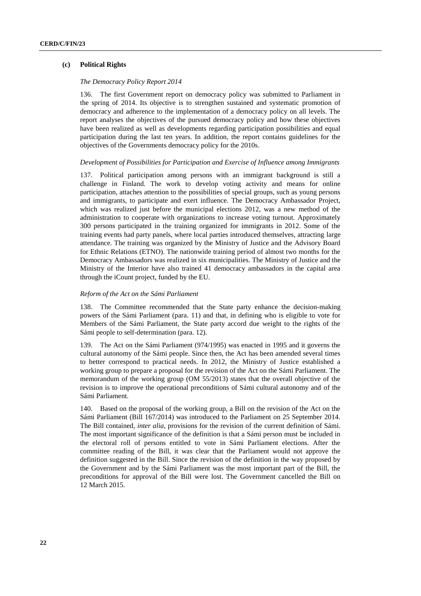# **(c) Political Rights**

# *The Democracy Policy Report 2014*

136. The first Government report on democracy policy was submitted to Parliament in the spring of 2014. Its objective is to strengthen sustained and systematic promotion of democracy and adherence to the implementation of a democracy policy on all levels. The report analyses the objectives of the pursued democracy policy and how these objectives have been realized as well as developments regarding participation possibilities and equal participation during the last ten years. In addition, the report contains guidelines for the objectives of the Governments democracy policy for the 2010s.

#### *Development of Possibilities for Participation and Exercise of Influence among Immigrants*

137. Political participation among persons with an immigrant background is still a challenge in Finland. The work to develop voting activity and means for online participation, attaches attention to the possibilities of special groups, such as young persons and immigrants, to participate and exert influence. The Democracy Ambassador Project, which was realized just before the municipal elections 2012, was a new method of the administration to cooperate with organizations to increase voting turnout. Approximately 300 persons participated in the training organized for immigrants in 2012. Some of the training events had party panels, where local parties introduced themselves, attracting large attendance. The training was organized by the Ministry of Justice and the Advisory Board for Ethnic Relations (ETNO). The nationwide training period of almost two months for the Democracy Ambassadors was realized in six municipalities. The Ministry of Justice and the Ministry of the Interior have also trained 41 democracy ambassadors in the capital area through the iCount project, funded by the EU.

## *Reform of the Act on the Sámi Parliament*

138. The Committee recommended that the State party enhance the decision-making powers of the Sámi Parliament (para. 11) and that, in defining who is eligible to vote for Members of the Sámi Parliament, the State party accord due weight to the rights of the Sámi people to self-determination (para. 12).

139. The Act on the Sámi Parliament (974/1995) was enacted in 1995 and it governs the cultural autonomy of the Sámi people. Since then, the Act has been amended several times to better correspond to practical needs. In 2012, the Ministry of Justice established a working group to prepare a proposal for the revision of the Act on the Sámi Parliament. The memorandum of the working group (OM 55/2013) states that the overall objective of the revision is to improve the operational preconditions of Sámi cultural autonomy and of the Sámi Parliament.

140. Based on the proposal of the working group, a Bill on the revision of the Act on the Sámi Parliament (Bill 167/2014) was introduced to the Parliament on 25 September 2014. The Bill contained, *inter alia*, provisions for the revision of the current definition of Sámi. The most important significance of the definition is that a Sámi person must be included in the electoral roll of persons entitled to vote in Sámi Parliament elections. After the committee reading of the Bill, it was clear that the Parliament would not approve the definition suggested in the Bill. Since the revision of the definition in the way proposed by the Government and by the Sámi Parliament was the most important part of the Bill, the preconditions for approval of the Bill were lost. The Government cancelled the Bill on 12 March 2015.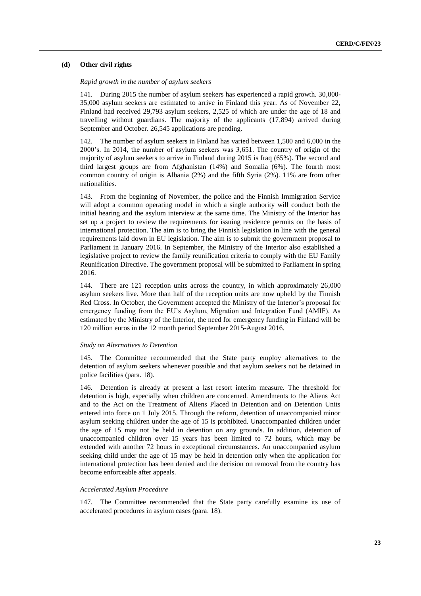# **(d) Other civil rights**

# *Rapid growth in the number of asylum seekers*

141. During 2015 the number of asylum seekers has experienced a rapid growth. 30,000- 35,000 asylum seekers are estimated to arrive in Finland this year. As of November 22, Finland had received 29,793 asylum seekers, 2,525 of which are under the age of 18 and travelling without guardians. The majority of the applicants (17,894) arrived during September and October. 26,545 applications are pending.

142. The number of asylum seekers in Finland has varied between 1,500 and 6,000 in the 2000's. In 2014, the number of asylum seekers was 3,651. The country of origin of the majority of asylum seekers to arrive in Finland during 2015 is Iraq (65%). The second and third largest groups are from Afghanistan (14%) and Somalia (6%). The fourth most common country of origin is Albania (2%) and the fifth Syria (2%). 11% are from other nationalities.

143. From the beginning of November, the police and the Finnish Immigration Service will adopt a common operating model in which a single authority will conduct both the initial hearing and the asylum interview at the same time. The Ministry of the Interior has set up a project to review the requirements for issuing residence permits on the basis of international protection. The aim is to bring the Finnish legislation in line with the general requirements laid down in EU legislation. The aim is to submit the government proposal to Parliament in January 2016. In September, the Ministry of the Interior also established a legislative project to review the family reunification criteria to comply with the EU Family Reunification Directive. The government proposal will be submitted to Parliament in spring 2016.

144. There are 121 reception units across the country, in which approximately 26,000 asylum seekers live. More than half of the reception units are now upheld by the Finnish Red Cross. In October, the Government accepted the Ministry of the Interior's proposal for emergency funding from the EU's Asylum, Migration and Integration Fund (AMIF). As estimated by the Ministry of the Interior, the need for emergency funding in Finland will be 120 million euros in the 12 month period September 2015-August 2016.

# *Study on Alternatives to Detention*

145. The Committee recommended that the State party employ alternatives to the detention of asylum seekers whenever possible and that asylum seekers not be detained in police facilities (para. 18).

146. Detention is already at present a last resort interim measure. The threshold for detention is high, especially when children are concerned. Amendments to the Aliens Act and to the Act on the Treatment of Aliens Placed in Detention and on Detention Units entered into force on 1 July 2015. Through the reform, detention of unaccompanied minor asylum seeking children under the age of 15 is prohibited. Unaccompanied children under the age of 15 may not be held in detention on any grounds. In addition, detention of unaccompanied children over 15 years has been limited to 72 hours, which may be extended with another 72 hours in exceptional circumstances. An unaccompanied asylum seeking child under the age of 15 may be held in detention only when the application for international protection has been denied and the decision on removal from the country has become enforceable after appeals.

# *Accelerated Asylum Procedure*

147. The Committee recommended that the State party carefully examine its use of accelerated procedures in asylum cases (para. 18).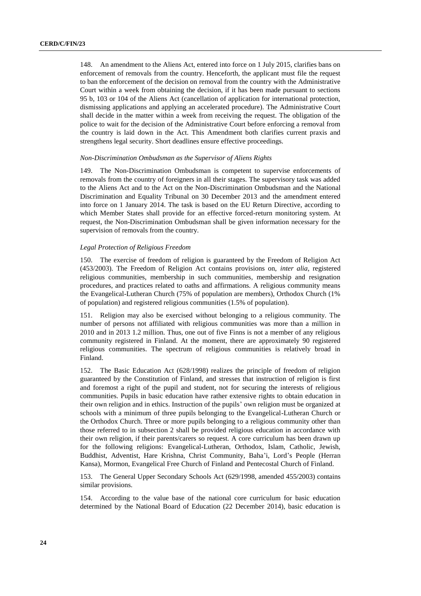148. An amendment to the Aliens Act, entered into force on 1 July 2015, clarifies bans on enforcement of removals from the country. Henceforth, the applicant must file the request to ban the enforcement of the decision on removal from the country with the Administrative Court within a week from obtaining the decision, if it has been made pursuant to sections 95 b, 103 or 104 of the Aliens Act (cancellation of application for international protection, dismissing applications and applying an accelerated procedure). The Administrative Court shall decide in the matter within a week from receiving the request. The obligation of the police to wait for the decision of the Administrative Court before enforcing a removal from the country is laid down in the Act. This Amendment both clarifies current praxis and strengthens legal security. Short deadlines ensure effective proceedings.

### *Non-Discrimination Ombudsman as the Supervisor of Aliens Rights*

149. The Non-Discrimination Ombudsman is competent to supervise enforcements of removals from the country of foreigners in all their stages. The supervisory task was added to the Aliens Act and to the Act on the Non-Discrimination Ombudsman and the National Discrimination and Equality Tribunal on 30 December 2013 and the amendment entered into force on 1 January 2014. The task is based on the EU Return Directive, according to which Member States shall provide for an effective forced-return monitoring system. At request, the Non-Discrimination Ombudsman shall be given information necessary for the supervision of removals from the country.

### *Legal Protection of Religious Freedom*

150. The exercise of freedom of religion is guaranteed by the Freedom of Religion Act (453/2003). The Freedom of Religion Act contains provisions on, *inter alia*, registered religious communities, membership in such communities, membership and resignation procedures, and practices related to oaths and affirmations. A religious community means the Evangelical-Lutheran Church (75% of population are members), Orthodox Church (1% of population) and registered religious communities (1.5% of population).

151. Religion may also be exercised without belonging to a religious community. The number of persons not affiliated with religious communities was more than a million in 2010 and in 2013 1.2 million. Thus, one out of five Finns is not a member of any religious community registered in Finland. At the moment, there are approximately 90 registered religious communities. The spectrum of religious communities is relatively broad in Finland.

152. The Basic Education Act (628/1998) realizes the principle of freedom of religion guaranteed by the Constitution of Finland, and stresses that instruction of religion is first and foremost a right of the pupil and student, not for securing the interests of religious communities. Pupils in basic education have rather extensive rights to obtain education in their own religion and in ethics. Instruction of the pupils' own religion must be organized at schools with a minimum of three pupils belonging to the Evangelical-Lutheran Church or the Orthodox Church. Three or more pupils belonging to a religious community other than those referred to in subsection 2 shall be provided religious education in accordance with their own religion, if their parents/carers so request. A core curriculum has been drawn up for the following religions: Evangelical-Lutheran, Orthodox, Islam, Catholic, Jewish, Buddhist, Adventist, Hare Krishna, Christ Community, Baha'i, Lord's People (Herran Kansa), Mormon, Evangelical Free Church of Finland and Pentecostal Church of Finland.

153. The General Upper Secondary Schools Act (629/1998, amended 455/2003) contains similar provisions.

154. According to the value base of the national core curriculum for basic education determined by the National Board of Education (22 December 2014), basic education is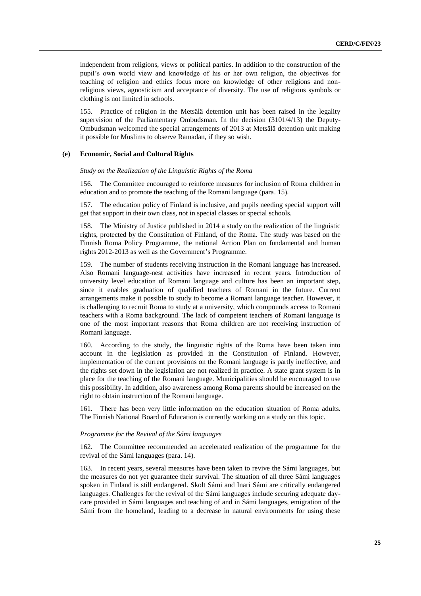independent from religions, views or political parties. In addition to the construction of the pupil's own world view and knowledge of his or her own religion, the objectives for teaching of religion and ethics focus more on knowledge of other religions and nonreligious views, agnosticism and acceptance of diversity. The use of religious symbols or clothing is not limited in schools.

155. Practice of religion in the Metsälä detention unit has been raised in the legality supervision of the Parliamentary Ombudsman. In the decision (3101/4/13) the Deputy-Ombudsman welcomed the special arrangements of 2013 at Metsälä detention unit making it possible for Muslims to observe Ramadan, if they so wish.

### **(e) Economic, Social and Cultural Rights**

## *Study on the Realization of the Linguistic Rights of the Roma*

156. The Committee encouraged to reinforce measures for inclusion of Roma children in education and to promote the teaching of the Romani language (para. 15).

157. The education policy of Finland is inclusive, and pupils needing special support will get that support in their own class, not in special classes or special schools.

158. The Ministry of Justice published in 2014 a study on the realization of the linguistic rights, protected by the Constitution of Finland, of the Roma. The study was based on the Finnish Roma Policy Programme, the national Action Plan on fundamental and human rights 2012-2013 as well as the Government's Programme.

159. The number of students receiving instruction in the Romani language has increased. Also Romani language-nest activities have increased in recent years. Introduction of university level education of Romani language and culture has been an important step, since it enables graduation of qualified teachers of Romani in the future. Current arrangements make it possible to study to become a Romani language teacher. However, it is challenging to recruit Roma to study at a university, which compounds access to Romani teachers with a Roma background. The lack of competent teachers of Romani language is one of the most important reasons that Roma children are not receiving instruction of Romani language.

160. According to the study, the linguistic rights of the Roma have been taken into account in the legislation as provided in the Constitution of Finland. However, implementation of the current provisions on the Romani language is partly ineffective, and the rights set down in the legislation are not realized in practice. A state grant system is in place for the teaching of the Romani language. Municipalities should be encouraged to use this possibility. In addition, also awareness among Roma parents should be increased on the right to obtain instruction of the Romani language.

161. There has been very little information on the education situation of Roma adults. The Finnish National Board of Education is currently working on a study on this topic.

#### *Programme for the Revival of the Sámi languages*

162. The Committee recommended an accelerated realization of the programme for the revival of the Sámi languages (para. 14).

163. In recent years, several measures have been taken to revive the Sámi languages, but the measures do not yet guarantee their survival. The situation of all three Sámi languages spoken in Finland is still endangered. Skolt Sámi and Inari Sámi are critically endangered languages. Challenges for the revival of the Sámi languages include securing adequate daycare provided in Sámi languages and teaching of and in Sámi languages, emigration of the Sámi from the homeland, leading to a decrease in natural environments for using these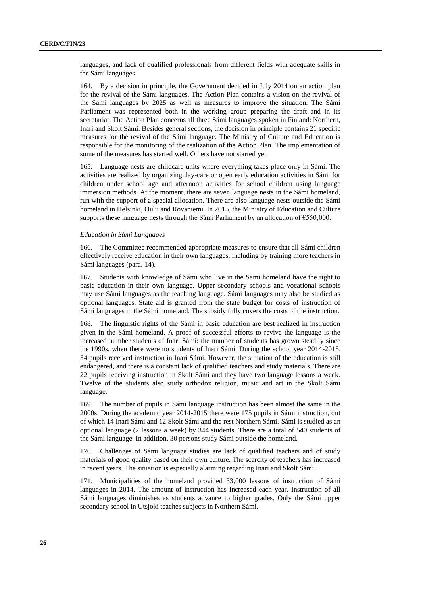languages, and lack of qualified professionals from different fields with adequate skills in the Sámi languages.

164. By a decision in principle, the Government decided in July 2014 on an action plan for the revival of the Sámi languages. The Action Plan contains a vision on the revival of the Sámi languages by 2025 as well as measures to improve the situation. The Sámi Parliament was represented both in the working group preparing the draft and in its secretariat. The Action Plan concerns all three Sámi languages spoken in Finland: Northern, Inari and Skolt Sámi. Besides general sections, the decision in principle contains 21 specific measures for the revival of the Sámi language. The Ministry of Culture and Education is responsible for the monitoring of the realization of the Action Plan. The implementation of some of the measures has started well. Others have not started yet.

165. Language nests are childcare units where everything takes place only in Sámi. The activities are realized by organizing day-care or open early education activities in Sámi for children under school age and afternoon activities for school children using language immersion methods. At the moment, there are seven language nests in the Sámi homeland, run with the support of a special allocation. There are also language nests outside the Sámi homeland in Helsinki, Oulu and Rovaniemi. In 2015, the Ministry of Education and Culture supports these language nests through the Sámi Parliament by an allocation of  $\epsilon$ 550,000.

#### *Education in Sámi Languages*

166. The Committee recommended appropriate measures to ensure that all Sámi children effectively receive education in their own languages, including by training more teachers in Sámi languages (para. 14).

167. Students with knowledge of Sámi who live in the Sámi homeland have the right to basic education in their own language. Upper secondary schools and vocational schools may use Sámi languages as the teaching language. Sámi languages may also be studied as optional languages. State aid is granted from the state budget for costs of instruction of Sámi languages in the Sámi homeland. The subsidy fully covers the costs of the instruction.

168. The linguistic rights of the Sámi in basic education are best realized in instruction given in the Sámi homeland. A proof of successful efforts to revive the language is the increased number students of Inari Sámi: the number of students has grown steadily since the 1990s, when there were no students of Inari Sámi. During the school year 2014-2015, 54 pupils received instruction in Inari Sámi. However, the situation of the education is still endangered, and there is a constant lack of qualified teachers and study materials. There are 22 pupils receiving instruction in Skolt Sámi and they have two language lessons a week. Twelve of the students also study orthodox religion, music and art in the Skolt Sámi language.

169. The number of pupils in Sámi language instruction has been almost the same in the 2000s. During the academic year 2014-2015 there were 175 pupils in Sámi instruction, out of which 14 Inari Sámi and 12 Skolt Sámi and the rest Northern Sámi. Sámi is studied as an optional language (2 lessons a week) by 344 students. There are a total of 540 students of the Sámi language. In addition, 30 persons study Sámi outside the homeland.

170. Challenges of Sámi language studies are lack of qualified teachers and of study materials of good quality based on their own culture. The scarcity of teachers has increased in recent years. The situation is especially alarming regarding Inari and Skolt Sámi.

171. Municipalities of the homeland provided 33,000 lessons of instruction of Sámi languages in 2014. The amount of instruction has increased each year. Instruction of all Sámi languages diminishes as students advance to higher grades. Only the Sámi upper secondary school in Utsjoki teaches subjects in Northern Sámi.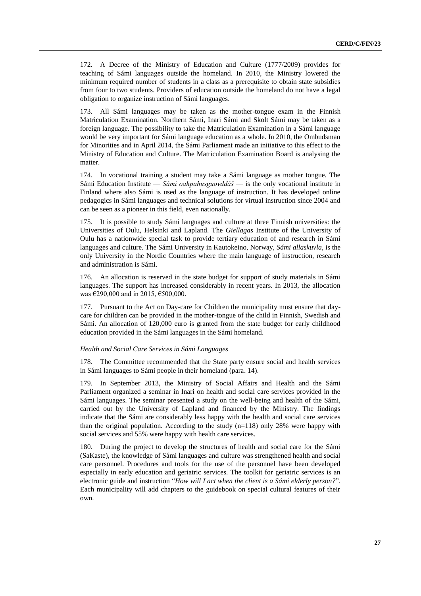172. A Decree of the Ministry of Education and Culture (1777/2009) provides for teaching of Sámi languages outside the homeland. In 2010, the Ministry lowered the minimum required number of students in a class as a prerequisite to obtain state subsidies from four to two students. Providers of education outside the homeland do not have a legal obligation to organize instruction of Sámi languages.

173. All Sámi languages may be taken as the mother-tongue exam in the Finnish Matriculation Examination. Northern Sámi, Inari Sámi and Skolt Sámi may be taken as a foreign language. The possibility to take the Matriculation Examination in a Sámi language would be very important for Sámi language education as a whole. In 2010, the Ombudsman for Minorities and in April 2014, the Sámi Parliament made an initiative to this effect to the Ministry of Education and Culture. The Matriculation Examination Board is analysing the matter.

174. In vocational training a student may take a Sámi language as mother tongue. The Sámi Education Institute — *Sámi oahpahusguovddáš* — is the only vocational institute in Finland where also Sámi is used as the language of instruction. It has developed online pedagogics in Sámi languages and technical solutions for virtual instruction since 2004 and can be seen as a pioneer in this field, even nationally.

175. It is possible to study Sámi languages and culture at three Finnish universities: the Universities of Oulu, Helsinki and Lapland. The *Giellagas* Institute of the University of Oulu has a nationwide special task to provide tertiary education of and research in Sámi languages and culture. The Sámi University in Kautokeino, Norway, *Sámi allaskuvla*, is the only University in the Nordic Countries where the main language of instruction, research and administration is Sámi.

176. An allocation is reserved in the state budget for support of study materials in Sámi languages. The support has increased considerably in recent years. In 2013, the allocation was €290,000 and in 2015, €500,000.

177. Pursuant to the Act on Day-care for Children the municipality must ensure that daycare for children can be provided in the mother-tongue of the child in Finnish, Swedish and Sámi. An allocation of 120,000 euro is granted from the state budget for early childhood education provided in the Sámi languages in the Sámi homeland.

#### *Health and Social Care Services in Sámi Languages*

178. The Committee recommended that the State party ensure social and health services in Sámi languages to Sámi people in their homeland (para. 14).

179. In September 2013, the Ministry of Social Affairs and Health and the Sámi Parliament organized a seminar in Inari on health and social care services provided in the Sámi languages. The seminar presented a study on the well-being and health of the Sámi, carried out by the University of Lapland and financed by the Ministry. The findings indicate that the Sámi are considerably less happy with the health and social care services than the original population. According to the study  $(n=118)$  only 28% were happy with social services and 55% were happy with health care services.

180. During the project to develop the structures of health and social care for the Sámi (SaKaste), the knowledge of Sámi languages and culture was strengthened health and social care personnel. Procedures and tools for the use of the personnel have been developed especially in early education and geriatric services. The toolkit for geriatric services is an electronic guide and instruction "*How will I act when the client is a Sámi elderly person?*". Each municipality will add chapters to the guidebook on special cultural features of their own.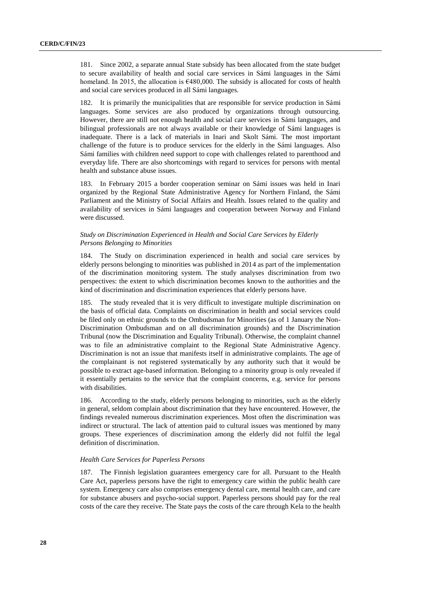181. Since 2002, a separate annual State subsidy has been allocated from the state budget to secure availability of health and social care services in Sámi languages in the Sámi homeland. In 2015, the allocation is  $6480,000$ . The subsidy is allocated for costs of health and social care services produced in all Sámi languages.

182. It is primarily the municipalities that are responsible for service production in Sámi languages. Some services are also produced by organizations through outsourcing. However, there are still not enough health and social care services in Sámi languages, and bilingual professionals are not always available or their knowledge of Sámi languages is inadequate. There is a lack of materials in Inari and Skolt Sámi. The most important challenge of the future is to produce services for the elderly in the Sámi languages. Also Sámi families with children need support to cope with challenges related to parenthood and everyday life. There are also shortcomings with regard to services for persons with mental health and substance abuse issues.

183. In February 2015 a border cooperation seminar on Sámi issues was held in Inari organized by the Regional State Administrative Agency for Northern Finland, the Sámi Parliament and the Ministry of Social Affairs and Health. Issues related to the quality and availability of services in Sámi languages and cooperation between Norway and Finland were discussed.

# *Study on Discrimination Experienced in Health and Social Care Services by Elderly Persons Belonging to Minorities*

184. The Study on discrimination experienced in health and social care services by elderly persons belonging to minorities was published in 2014 as part of the implementation of the discrimination monitoring system. The study analyses discrimination from two perspectives: the extent to which discrimination becomes known to the authorities and the kind of discrimination and discrimination experiences that elderly persons have.

185. The study revealed that it is very difficult to investigate multiple discrimination on the basis of official data. Complaints on discrimination in health and social services could be filed only on ethnic grounds to the Ombudsman for Minorities (as of 1 January the Non-Discrimination Ombudsman and on all discrimination grounds) and the Discrimination Tribunal (now the Discrimination and Equality Tribunal). Otherwise, the complaint channel was to file an administrative complaint to the Regional State Administrative Agency. Discrimination is not an issue that manifests itself in administrative complaints. The age of the complainant is not registered systematically by any authority such that it would be possible to extract age-based information. Belonging to a minority group is only revealed if it essentially pertains to the service that the complaint concerns, e.g. service for persons with disabilities.

186. According to the study, elderly persons belonging to minorities, such as the elderly in general, seldom complain about discrimination that they have encountered. However, the findings revealed numerous discrimination experiences. Most often the discrimination was indirect or structural. The lack of attention paid to cultural issues was mentioned by many groups. These experiences of discrimination among the elderly did not fulfil the legal definition of discrimination.

# *Health Care Services for Paperless Persons*

187. The Finnish legislation guarantees emergency care for all. Pursuant to the Health Care Act, paperless persons have the right to emergency care within the public health care system. Emergency care also comprises emergency dental care, mental health care, and care for substance abusers and psycho-social support. Paperless persons should pay for the real costs of the care they receive. The State pays the costs of the care through Kela to the health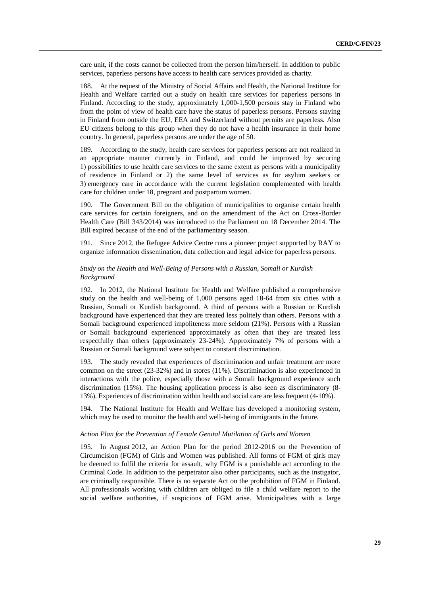care unit, if the costs cannot be collected from the person him/herself. In addition to public services, paperless persons have access to health care services provided as charity.

188. At the request of the Ministry of Social Affairs and Health, the National Institute for Health and Welfare carried out a study on health care services for paperless persons in Finland. According to the study, approximately 1,000-1,500 persons stay in Finland who from the point of view of health care have the status of paperless persons. Persons staying in Finland from outside the EU, EEA and Switzerland without permits are paperless. Also EU citizens belong to this group when they do not have a health insurance in their home country. In general, paperless persons are under the age of 50.

189. According to the study, health care services for paperless persons are not realized in an appropriate manner currently in Finland, and could be improved by securing 1) possibilities to use health care services to the same extent as persons with a municipality of residence in Finland or 2) the same level of services as for asylum seekers or 3) emergency care in accordance with the current legislation complemented with health care for children under 18, pregnant and postpartum women.

190. The Government Bill on the obligation of municipalities to organise certain health care services for certain foreigners, and on the amendment of the Act on Cross-Border Health Care (Bill 343/2014) was introduced to the Parliament on 18 December 2014. The Bill expired because of the end of the parliamentary season.

191. Since 2012, the Refugee Advice Centre runs a pioneer project supported by RAY to organize information dissemination, data collection and legal advice for paperless persons.

# *Study on the Health and Well-Being of Persons with a Russian, Somali or Kurdish Background*

192. In 2012, the National Institute for Health and Welfare published a comprehensive study on the health and well-being of 1,000 persons aged 18-64 from six cities with a Russian, Somali or Kurdish background. A third of persons with a Russian or Kurdish background have experienced that they are treated less politely than others. Persons with a Somali background experienced impoliteness more seldom (21%). Persons with a Russian or Somali background experienced approximately as often that they are treated less respectfully than others (approximately 23-24%). Approximately 7% of persons with a Russian or Somali background were subject to constant discrimination.

193. The study revealed that experiences of discrimination and unfair treatment are more common on the street (23-32%) and in stores (11%). Discrimination is also experienced in interactions with the police, especially those with a Somali background experience such discrimination (15%). The housing application process is also seen as discriminatory (8- 13%). Experiences of discrimination within health and social care are less frequent (4-10%).

194. The National Institute for Health and Welfare has developed a monitoring system, which may be used to monitor the health and well-being of immigrants in the future.

### *Action Plan for the Prevention of Female Genital Mutilation of Girls and Women*

195. In August 2012, an Action Plan for the period 2012-2016 on the Prevention of Circumcision (FGM) of Girls and Women was published. All forms of FGM of girls may be deemed to fulfil the criteria for assault, why FGM is a punishable act according to the Criminal Code. In addition to the perpetrator also other participants, such as the instigator, are criminally responsible. There is no separate Act on the prohibition of FGM in Finland. All professionals working with children are obliged to file a child welfare report to the social welfare authorities, if suspicions of FGM arise. Municipalities with a large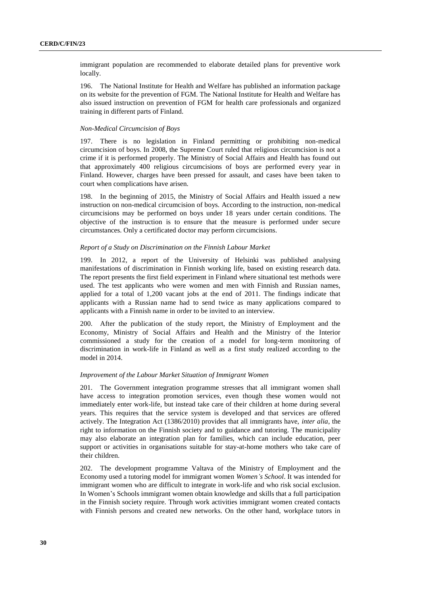immigrant population are recommended to elaborate detailed plans for preventive work locally.

196. The National Institute for Health and Welfare has published an information package on its website for the prevention of FGM. The National Institute for Health and Welfare has also issued instruction on prevention of FGM for health care professionals and organized training in different parts of Finland.

## *Non-Medical Circumcision of Boys*

197. There is no legislation in Finland permitting or prohibiting non-medical circumcision of boys. In 2008, the Supreme Court ruled that religious circumcision is not a crime if it is performed properly. The Ministry of Social Affairs and Health has found out that approximately 400 religious circumcisions of boys are performed every year in Finland. However, charges have been pressed for assault, and cases have been taken to court when complications have arisen.

198. In the beginning of 2015, the Ministry of Social Affairs and Health issued a new instruction on non-medical circumcision of boys. According to the instruction, non-medical circumcisions may be performed on boys under 18 years under certain conditions. The objective of the instruction is to ensure that the measure is performed under secure circumstances. Only a certificated doctor may perform circumcisions.

### *Report of a Study on Discrimination on the Finnish Labour Market*

199. In 2012, a report of the University of Helsinki was published analysing manifestations of discrimination in Finnish working life, based on existing research data. The report presents the first field experiment in Finland where situational test methods were used. The test applicants who were women and men with Finnish and Russian names, applied for a total of 1,200 vacant jobs at the end of 2011. The findings indicate that applicants with a Russian name had to send twice as many applications compared to applicants with a Finnish name in order to be invited to an interview.

200. After the publication of the study report, the Ministry of Employment and the Economy, Ministry of Social Affairs and Health and the Ministry of the Interior commissioned a study for the creation of a model for long-term monitoring of discrimination in work-life in Finland as well as a first study realized according to the model in 2014.

### *Improvement of the Labour Market Situation of Immigrant Women*

201. The Government integration programme stresses that all immigrant women shall have access to integration promotion services, even though these women would not immediately enter work-life, but instead take care of their children at home during several years. This requires that the service system is developed and that services are offered actively. The Integration Act (1386/2010) provides that all immigrants have, *inter alia*, the right to information on the Finnish society and to guidance and tutoring. The municipality may also elaborate an integration plan for families, which can include education, peer support or activities in organisations suitable for stay-at-home mothers who take care of their children.

202. The development programme Valtava of the Ministry of Employment and the Economy used a tutoring model for immigrant women *Women's School*. It was intended for immigrant women who are difficult to integrate in work-life and who risk social exclusion. In Women's Schools immigrant women obtain knowledge and skills that a full participation in the Finnish society require. Through work activities immigrant women created contacts with Finnish persons and created new networks. On the other hand, workplace tutors in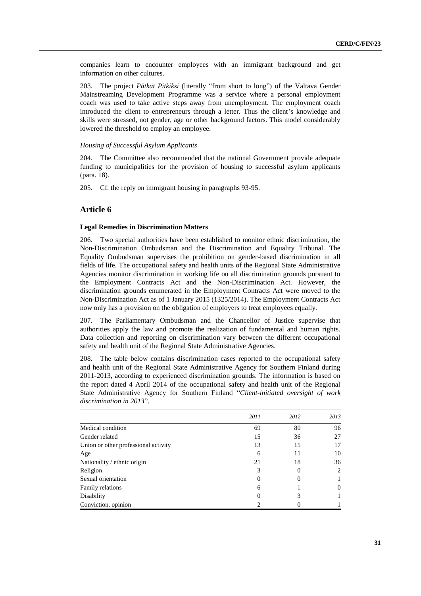companies learn to encounter employees with an immigrant background and get information on other cultures.

203. The project *Pätkät Pitkiksi* (literally "from short to long") of the Valtava Gender Mainstreaming Development Programme was a service where a personal employment coach was used to take active steps away from unemployment. The employment coach introduced the client to entrepreneurs through a letter. Thus the client's knowledge and skills were stressed, not gender, age or other background factors. This model considerably lowered the threshold to employ an employee.

# *Housing of Successful Asylum Applicants*

204. The Committee also recommended that the national Government provide adequate funding to municipalities for the provision of housing to successful asylum applicants (para. 18).

205. Cf. the reply on immigrant housing in paragraphs 93-95.

# **Article 6**

# **Legal Remedies in Discrimination Matters**

206. Two special authorities have been established to monitor ethnic discrimination, the Non-Discrimination Ombudsman and the Discrimination and Equality Tribunal. The Equality Ombudsman supervises the prohibition on gender-based discrimination in all fields of life. The occupational safety and health units of the Regional State Administrative Agencies monitor discrimination in working life on all discrimination grounds pursuant to the Employment Contracts Act and the Non-Discrimination Act. However, the discrimination grounds enumerated in the Employment Contracts Act were moved to the Non-Discrimination Act as of 1 January 2015 (1325/2014). The Employment Contracts Act now only has a provision on the obligation of employers to treat employees equally.

207. The Parliamentary Ombudsman and the Chancellor of Justice supervise that authorities apply the law and promote the realization of fundamental and human rights. Data collection and reporting on discrimination vary between the different occupational safety and health unit of the Regional State Administrative Agencies.

208. The table below contains discrimination cases reported to the occupational safety and health unit of the Regional State Administrative Agency for Southern Finland during 2011-2013, according to experienced discrimination grounds. The information is based on the report dated 4 April 2014 of the occupational safety and health unit of the Regional State Administrative Agency for Southern Finland "*Client-initiated oversight of work discrimination in 2013*".

|                                      | 2011     | 2012 | 2013     |
|--------------------------------------|----------|------|----------|
| Medical condition                    | 69       | 80   | 96       |
| Gender related                       | 15       | 36   | 27       |
| Union or other professional activity | 13       | 15   | 17       |
| Age                                  | 6        | 11   | 10       |
| Nationality / ethnic origin          | 21       | 18   | 36       |
| Religion                             |          | 0    | 2        |
| Sexual orientation                   | $\theta$ | 0    |          |
| Family relations                     | 6        |      | $\theta$ |
| Disability                           | $\theta$ | 3    |          |
| Conviction, opinion                  |          |      |          |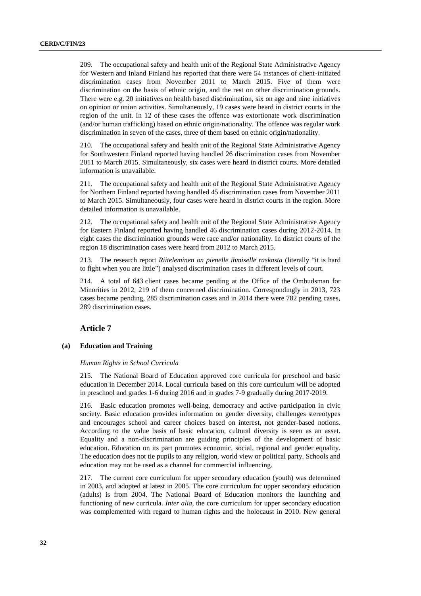209. The occupational safety and health unit of the Regional State Administrative Agency for Western and Inland Finland has reported that there were 54 instances of client-initiated discrimination cases from November 2011 to March 2015. Five of them were discrimination on the basis of ethnic origin, and the rest on other discrimination grounds. There were e.g. 20 initiatives on health based discrimination, six on age and nine initiatives on opinion or union activities. Simultaneously, 19 cases were heard in district courts in the region of the unit. In 12 of these cases the offence was extortionate work discrimination (and/or human trafficking) based on ethnic origin/nationality. The offence was regular work discrimination in seven of the cases, three of them based on ethnic origin/nationality.

210. The occupational safety and health unit of the Regional State Administrative Agency for Southwestern Finland reported having handled 26 discrimination cases from November 2011 to March 2015. Simultaneously, six cases were heard in district courts. More detailed information is unavailable.

211. The occupational safety and health unit of the Regional State Administrative Agency for Northern Finland reported having handled 45 discrimination cases from November 2011 to March 2015. Simultaneously, four cases were heard in district courts in the region. More detailed information is unavailable.

212. The occupational safety and health unit of the Regional State Administrative Agency for Eastern Finland reported having handled 46 discrimination cases during 2012-2014. In eight cases the discrimination grounds were race and/or nationality. In district courts of the region 18 discrimination cases were heard from 2012 to March 2015.

213. The research report *Riiteleminen on pienelle ihmiselle raskasta* (literally "it is hard to fight when you are little") analysed discrimination cases in different levels of court.

214. A total of 643 client cases became pending at the Office of the Ombudsman for Minorities in 2012, 219 of them concerned discrimination. Correspondingly in 2013, 723 cases became pending, 285 discrimination cases and in 2014 there were 782 pending cases, 289 discrimination cases.

# **Article 7**

# **(a) Education and Training**

#### *Human Rights in School Curricula*

215. The National Board of Education approved core curricula for preschool and basic education in December 2014. Local curricula based on this core curriculum will be adopted in preschool and grades 1-6 during 2016 and in grades 7-9 gradually during 2017-2019.

216. Basic education promotes well-being, democracy and active participation in civic society. Basic education provides information on gender diversity, challenges stereotypes and encourages school and career choices based on interest, not gender-based notions. According to the value basis of basic education, cultural diversity is seen as an asset. Equality and a non-discrimination are guiding principles of the development of basic education. Education on its part promotes economic, social, regional and gender equality. The education does not tie pupils to any religion, world view or political party. Schools and education may not be used as a channel for commercial influencing.

217. The current core curriculum for upper secondary education (youth) was determined in 2003, and adopted at latest in 2005. The core curriculum for upper secondary education (adults) is from 2004. The National Board of Education monitors the launching and functioning of new curricula. *Inter alia*, the core curriculum for upper secondary education was complemented with regard to human rights and the holocaust in 2010. New general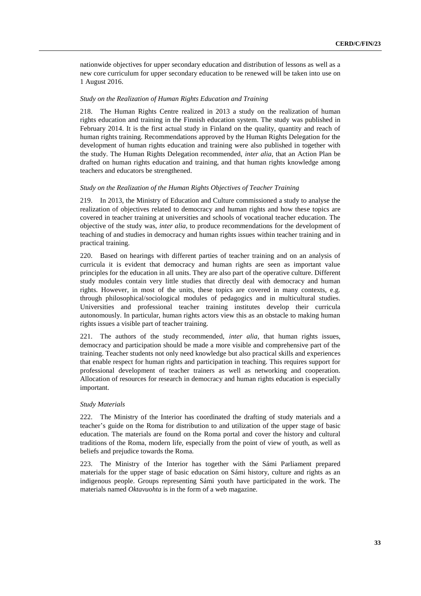nationwide objectives for upper secondary education and distribution of lessons as well as a new core curriculum for upper secondary education to be renewed will be taken into use on 1 August 2016.

# *Study on the Realization of Human Rights Education and Training*

218. The Human Rights Centre realized in 2013 a study on the realization of human rights education and training in the Finnish education system. The study was published in February 2014. It is the first actual study in Finland on the quality, quantity and reach of human rights training. Recommendations approved by the Human Rights Delegation for the development of human rights education and training were also published in together with the study. The Human Rights Delegation recommended, *inter alia*, that an Action Plan be drafted on human rights education and training, and that human rights knowledge among teachers and educators be strengthened.

# *Study on the Realization of the Human Rights Objectives of Teacher Training*

219. In 2013, the Ministry of Education and Culture commissioned a study to analyse the realization of objectives related to democracy and human rights and how these topics are covered in teacher training at universities and schools of vocational teacher education. The objective of the study was, *inter alia*, to produce recommendations for the development of teaching of and studies in democracy and human rights issues within teacher training and in practical training.

220. Based on hearings with different parties of teacher training and on an analysis of curricula it is evident that democracy and human rights are seen as important value principles for the education in all units. They are also part of the operative culture. Different study modules contain very little studies that directly deal with democracy and human rights. However, in most of the units, these topics are covered in many contexts, e.g. through philosophical/sociological modules of pedagogics and in multicultural studies. Universities and professional teacher training institutes develop their curricula autonomously. In particular, human rights actors view this as an obstacle to making human rights issues a visible part of teacher training.

221. The authors of the study recommended, *inter alia*, that human rights issues, democracy and participation should be made a more visible and comprehensive part of the training. Teacher students not only need knowledge but also practical skills and experiences that enable respect for human rights and participation in teaching. This requires support for professional development of teacher trainers as well as networking and cooperation. Allocation of resources for research in democracy and human rights education is especially important.

#### *Study Materials*

222. The Ministry of the Interior has coordinated the drafting of study materials and a teacher's guide on the Roma for distribution to and utilization of the upper stage of basic education. The materials are found on the Roma portal and cover the history and cultural traditions of the Roma, modern life, especially from the point of view of youth, as well as beliefs and prejudice towards the Roma.

223. The Ministry of the Interior has together with the Sámi Parliament prepared materials for the upper stage of basic education on Sámi history, culture and rights as an indigenous people. Groups representing Sámi youth have participated in the work. The materials named *Oktavuohta* is in the form of a web magazine.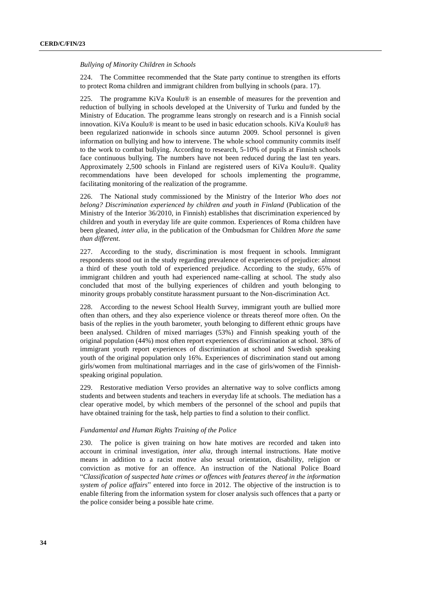*Bullying of Minority Children in Schools*

224. The Committee recommended that the State party continue to strengthen its efforts to protect Roma children and immigrant children from bullying in schools (para. 17).

225. The programme KiVa Koulu® is an ensemble of measures for the prevention and reduction of bullying in schools developed at the University of Turku and funded by the Ministry of Education. The programme leans strongly on research and is a Finnish social innovation. KiVa Koulu® is meant to be used in basic education schools. KiVa Koulu® has been regularized nationwide in schools since autumn 2009. School personnel is given information on bullying and how to intervene. The whole school community commits itself to the work to combat bullying. According to research, 5-10% of pupils at Finnish schools face continuous bullying. The numbers have not been reduced during the last ten years. Approximately 2,500 schools in Finland are registered users of KiVa Koulu®. Quality recommendations have been developed for schools implementing the programme, facilitating monitoring of the realization of the programme.

226. The National study commissioned by the Ministry of the Interior *Who does not belong? Discrimination experienced by children and youth in Finland* (Publication of the Ministry of the Interior 36/2010, in Finnish) establishes that discrimination experienced by children and youth in everyday life are quite common. Experiences of Roma children have been gleaned, *inter alia*, in the publication of the Ombudsman for Children *More the same than different*.

227. According to the study, discrimination is most frequent in schools. Immigrant respondents stood out in the study regarding prevalence of experiences of prejudice: almost a third of these youth told of experienced prejudice. According to the study, 65% of immigrant children and youth had experienced name-calling at school. The study also concluded that most of the bullying experiences of children and youth belonging to minority groups probably constitute harassment pursuant to the Non-discrimination Act.

228. According to the newest School Health Survey, immigrant youth are bullied more often than others, and they also experience violence or threats thereof more often. On the basis of the replies in the youth barometer, youth belonging to different ethnic groups have been analysed. Children of mixed marriages (53%) and Finnish speaking youth of the original population (44%) most often report experiences of discrimination at school. 38% of immigrant youth report experiences of discrimination at school and Swedish speaking youth of the original population only 16%. Experiences of discrimination stand out among girls/women from multinational marriages and in the case of girls/women of the Finnishspeaking original population.

229. Restorative mediation Verso provides an alternative way to solve conflicts among students and between students and teachers in everyday life at schools. The mediation has a clear operative model, by which members of the personnel of the school and pupils that have obtained training for the task, help parties to find a solution to their conflict.

## *Fundamental and Human Rights Training of the Police*

230. The police is given training on how hate motives are recorded and taken into account in criminal investigation, *inter alia*, through internal instructions. Hate motive means in addition to a racist motive also sexual orientation, disability, religion or conviction as motive for an offence. An instruction of the National Police Board "*Classification of suspected hate crimes or offences with features thereof in the information system of police affairs*" entered into force in 2012. The objective of the instruction is to enable filtering from the information system for closer analysis such offences that a party or the police consider being a possible hate crime.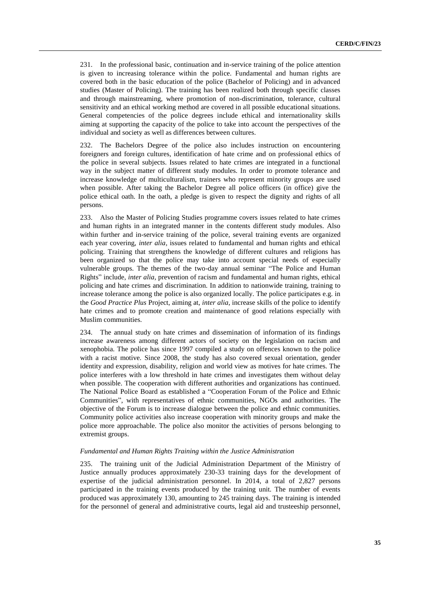231. In the professional basic, continuation and in-service training of the police attention is given to increasing tolerance within the police. Fundamental and human rights are covered both in the basic education of the police (Bachelor of Policing) and in advanced studies (Master of Policing). The training has been realized both through specific classes and through mainstreaming, where promotion of non-discrimination, tolerance, cultural sensitivity and an ethical working method are covered in all possible educational situations. General competencies of the police degrees include ethical and internationality skills aiming at supporting the capacity of the police to take into account the perspectives of the individual and society as well as differences between cultures.

232. The Bachelors Degree of the police also includes instruction on encountering foreigners and foreign cultures, identification of hate crime and on professional ethics of the police in several subjects. Issues related to hate crimes are integrated in a functional way in the subject matter of different study modules. In order to promote tolerance and increase knowledge of multiculturalism, trainers who represent minority groups are used when possible. After taking the Bachelor Degree all police officers (in office) give the police ethical oath. In the oath, a pledge is given to respect the dignity and rights of all persons.

233. Also the Master of Policing Studies programme covers issues related to hate crimes and human rights in an integrated manner in the contents different study modules. Also within further and in-service training of the police, several training events are organized each year covering, *inter alia*, issues related to fundamental and human rights and ethical policing. Training that strengthens the knowledge of different cultures and religions has been organized so that the police may take into account special needs of especially vulnerable groups. The themes of the two-day annual seminar "The Police and Human Rights" include, *inter alia*, prevention of racism and fundamental and human rights, ethical policing and hate crimes and discrimination. In addition to nationwide training, training to increase tolerance among the police is also organized locally. The police participates e.g. in the *Good Practice Plus* Project, aiming at, *inter alia*, increase skills of the police to identify hate crimes and to promote creation and maintenance of good relations especially with Muslim communities.

234. The annual study on hate crimes and dissemination of information of its findings increase awareness among different actors of society on the legislation on racism and xenophobia. The police has since 1997 compiled a study on offences known to the police with a racist motive. Since 2008, the study has also covered sexual orientation, gender identity and expression, disability, religion and world view as motives for hate crimes. The police interferes with a low threshold in hate crimes and investigates them without delay when possible. The cooperation with different authorities and organizations has continued. The National Police Board as established a "Cooperation Forum of the Police and Ethnic Communities", with representatives of ethnic communities, NGOs and authorities. The objective of the Forum is to increase dialogue between the police and ethnic communities. Community police activities also increase cooperation with minority groups and make the police more approachable. The police also monitor the activities of persons belonging to extremist groups.

# *Fundamental and Human Rights Training within the Justice Administration*

235. The training unit of the Judicial Administration Department of the Ministry of Justice annually produces approximately 230-33 training days for the development of expertise of the judicial administration personnel. In 2014, a total of 2,827 persons participated in the training events produced by the training unit. The number of events produced was approximately 130, amounting to 245 training days. The training is intended for the personnel of general and administrative courts, legal aid and trusteeship personnel,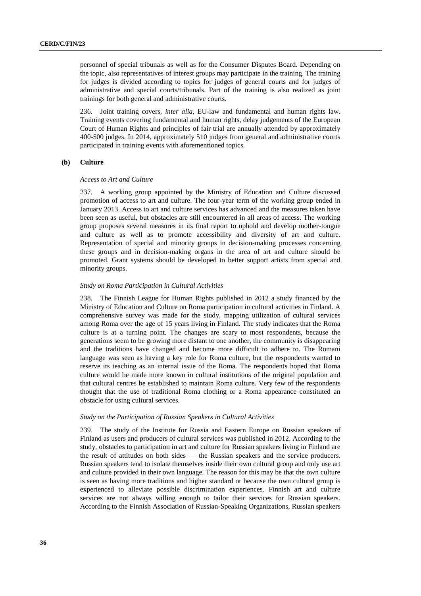personnel of special tribunals as well as for the Consumer Disputes Board. Depending on the topic, also representatives of interest groups may participate in the training. The training for judges is divided according to topics for judges of general courts and for judges of administrative and special courts/tribunals. Part of the training is also realized as joint trainings for both general and administrative courts.

236. Joint training covers, *inter alia*, EU-law and fundamental and human rights law. Training events covering fundamental and human rights, delay judgements of the European Court of Human Rights and principles of fair trial are annually attended by approximately 400-500 judges. In 2014, approximately 510 judges from general and administrative courts participated in training events with aforementioned topics.

# **(b) Culture**

## *Access to Art and Culture*

237. A working group appointed by the Ministry of Education and Culture discussed promotion of access to art and culture. The four-year term of the working group ended in January 2013. Access to art and culture services has advanced and the measures taken have been seen as useful, but obstacles are still encountered in all areas of access. The working group proposes several measures in its final report to uphold and develop mother-tongue and culture as well as to promote accessibility and diversity of art and culture. Representation of special and minority groups in decision-making processes concerning these groups and in decision-making organs in the area of art and culture should be promoted. Grant systems should be developed to better support artists from special and minority groups.

## *Study on Roma Participation in Cultural Activities*

238. The Finnish League for Human Rights published in 2012 a study financed by the Ministry of Education and Culture on Roma participation in cultural activities in Finland. A comprehensive survey was made for the study, mapping utilization of cultural services among Roma over the age of 15 years living in Finland. The study indicates that the Roma culture is at a turning point. The changes are scary to most respondents, because the generations seem to be growing more distant to one another, the community is disappearing and the traditions have changed and become more difficult to adhere to. The Romani language was seen as having a key role for Roma culture, but the respondents wanted to reserve its teaching as an internal issue of the Roma. The respondents hoped that Roma culture would be made more known in cultural institutions of the original population and that cultural centres be established to maintain Roma culture. Very few of the respondents thought that the use of traditional Roma clothing or a Roma appearance constituted an obstacle for using cultural services.

## *Study on the Participation of Russian Speakers in Cultural Activities*

239. The study of the Institute for Russia and Eastern Europe on Russian speakers of Finland as users and producers of cultural services was published in 2012. According to the study, obstacles to participation in art and culture for Russian speakers living in Finland are the result of attitudes on both sides — the Russian speakers and the service producers. Russian speakers tend to isolate themselves inside their own cultural group and only use art and culture provided in their own language. The reason for this may be that the own culture is seen as having more traditions and higher standard or because the own cultural group is experienced to alleviate possible discrimination experiences. Finnish art and culture services are not always willing enough to tailor their services for Russian speakers. According to the Finnish Association of Russian-Speaking Organizations, Russian speakers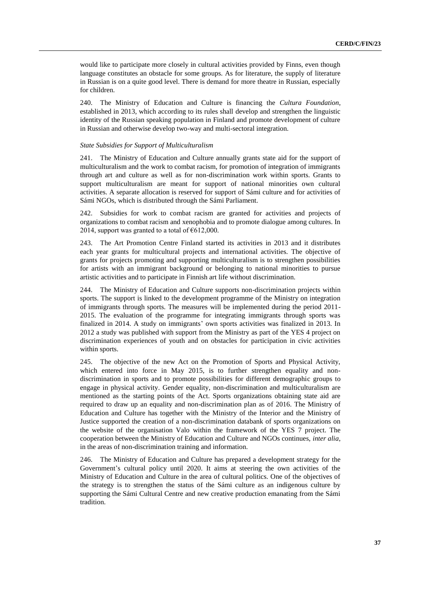would like to participate more closely in cultural activities provided by Finns, even though language constitutes an obstacle for some groups. As for literature, the supply of literature in Russian is on a quite good level. There is demand for more theatre in Russian, especially for children.

240. The Ministry of Education and Culture is financing the *Cultura Foundation*, established in 2013, which according to its rules shall develop and strengthen the linguistic identity of the Russian speaking population in Finland and promote development of culture in Russian and otherwise develop two-way and multi-sectoral integration.

# *State Subsidies for Support of Multiculturalism*

241. The Ministry of Education and Culture annually grants state aid for the support of multiculturalism and the work to combat racism, for promotion of integration of immigrants through art and culture as well as for non-discrimination work within sports. Grants to support multiculturalism are meant for support of national minorities own cultural activities. A separate allocation is reserved for support of Sámi culture and for activities of Sámi NGOs, which is distributed through the Sámi Parliament.

242. Subsidies for work to combat racism are granted for activities and projects of organizations to combat racism and xenophobia and to promote dialogue among cultures. In 2014, support was granted to a total of  $\text{\textsterling}612,000$ .

243. The Art Promotion Centre Finland started its activities in 2013 and it distributes each year grants for multicultural projects and international activities. The objective of grants for projects promoting and supporting multiculturalism is to strengthen possibilities for artists with an immigrant background or belonging to national minorities to pursue artistic activities and to participate in Finnish art life without discrimination.

244. The Ministry of Education and Culture supports non-discrimination projects within sports. The support is linked to the development programme of the Ministry on integration of immigrants through sports. The measures will be implemented during the period 2011- 2015. The evaluation of the programme for integrating immigrants through sports was finalized in 2014. A study on immigrants' own sports activities was finalized in 2013. In 2012 a study was published with support from the Ministry as part of the YES 4 project on discrimination experiences of youth and on obstacles for participation in civic activities within sports.

245. The objective of the new Act on the Promotion of Sports and Physical Activity, which entered into force in May 2015, is to further strengthen equality and nondiscrimination in sports and to promote possibilities for different demographic groups to engage in physical activity. Gender equality, non-discrimination and multiculturalism are mentioned as the starting points of the Act. Sports organizations obtaining state aid are required to draw up an equality and non-discrimination plan as of 2016. The Ministry of Education and Culture has together with the Ministry of the Interior and the Ministry of Justice supported the creation of a non-discrimination databank of sports organizations on the website of the organisation Valo within the framework of the YES 7 project. The cooperation between the Ministry of Education and Culture and NGOs continues, *inter alia*, in the areas of non-discrimination training and information.

246. The Ministry of Education and Culture has prepared a development strategy for the Government's cultural policy until 2020. It aims at steering the own activities of the Ministry of Education and Culture in the area of cultural politics. One of the objectives of the strategy is to strengthen the status of the Sámi culture as an indigenous culture by supporting the Sámi Cultural Centre and new creative production emanating from the Sámi tradition.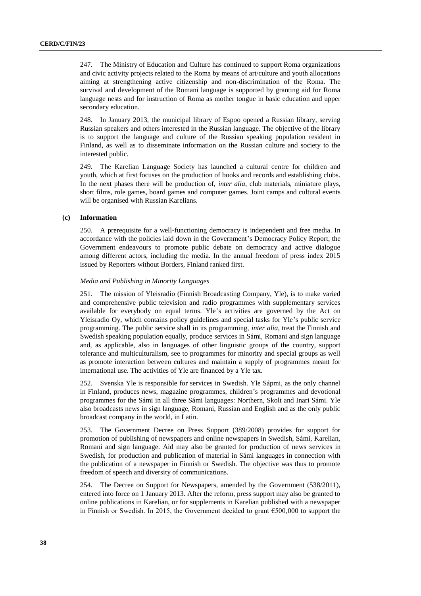247. The Ministry of Education and Culture has continued to support Roma organizations and civic activity projects related to the Roma by means of art/culture and youth allocations aiming at strengthening active citizenship and non-discrimination of the Roma. The survival and development of the Romani language is supported by granting aid for Roma language nests and for instruction of Roma as mother tongue in basic education and upper secondary education.

248. In January 2013, the municipal library of Espoo opened a Russian library, serving Russian speakers and others interested in the Russian language. The objective of the library is to support the language and culture of the Russian speaking population resident in Finland, as well as to disseminate information on the Russian culture and society to the interested public.

249. The Karelian Language Society has launched a cultural centre for children and youth, which at first focuses on the production of books and records and establishing clubs. In the next phases there will be production of, *inter alia*, club materials, miniature plays, short films, role games, board games and computer games. Joint camps and cultural events will be organised with Russian Karelians.

# **(c) Information**

250. A prerequisite for a well-functioning democracy is independent and free media. In accordance with the policies laid down in the Government's Democracy Policy Report, the Government endeavours to promote public debate on democracy and active dialogue among different actors, including the media. In the annual freedom of press index 2015 issued by Reporters without Borders, Finland ranked first.

#### *Media and Publishing in Minority Languages*

251. The mission of Yleisradio (Finnish Broadcasting Company, Yle), is to make varied and comprehensive public television and radio programmes with supplementary services available for everybody on equal terms. Yle's activities are governed by the Act on Yleisradio Oy, which contains policy guidelines and special tasks for Yle's public service programming. The public service shall in its programming, *inter alia*, treat the Finnish and Swedish speaking population equally, produce services in Sámi, Romani and sign language and, as applicable, also in languages of other linguistic groups of the country, support tolerance and multiculturalism, see to programmes for minority and special groups as well as promote interaction between cultures and maintain a supply of programmes meant for international use. The activities of Yle are financed by a Yle tax.

252. Svenska Yle is responsible for services in Swedish. Yle Sápmi, as the only channel in Finland, produces news, magazine programmes, children's programmes and devotional programmes for the Sámi in all three Sámi languages: Northern, Skolt and Inari Sámi. Yle also broadcasts news in sign language, Romani, Russian and English and as the only public broadcast company in the world, in Latin.

253. The Government Decree on Press Support (389/2008) provides for support for promotion of publishing of newspapers and online newspapers in Swedish, Sámi, Karelian, Romani and sign language. Aid may also be granted for production of news services in Swedish, for production and publication of material in Sámi languages in connection with the publication of a newspaper in Finnish or Swedish. The objective was thus to promote freedom of speech and diversity of communications.

254. The Decree on Support for Newspapers, amended by the Government (538/2011), entered into force on 1 January 2013. After the reform, press support may also be granted to online publications in Karelian, or for supplements in Karelian published with a newspaper in Finnish or Swedish. In 2015, the Government decided to grant €500,000 to support the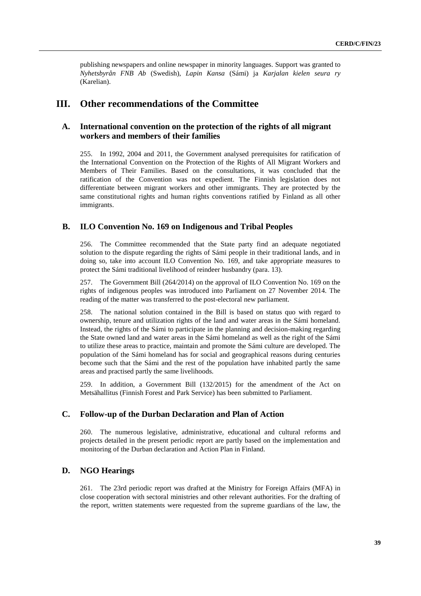publishing newspapers and online newspaper in minority languages. Support was granted to *Nyhetsbyrån FNB Ab* (Swedish), *Lapin Kansa* (Sámi) ja *Karjalan kielen seura ry* (Karelian).

# **III. Other recommendations of the Committee**

# **A. International convention on the protection of the rights of all migrant workers and members of their families**

255. In 1992, 2004 and 2011, the Government analysed prerequisites for ratification of the International Convention on the Protection of the Rights of All Migrant Workers and Members of Their Families. Based on the consultations, it was concluded that the ratification of the Convention was not expedient. The Finnish legislation does not differentiate between migrant workers and other immigrants. They are protected by the same constitutional rights and human rights conventions ratified by Finland as all other immigrants.

# **B. ILO Convention No. 169 on Indigenous and Tribal Peoples**

256. The Committee recommended that the State party find an adequate negotiated solution to the dispute regarding the rights of Sámi people in their traditional lands, and in doing so, take into account ILO Convention No. 169, and take appropriate measures to protect the Sámi traditional livelihood of reindeer husbandry (para. 13).

257. The Government Bill (264/2014) on the approval of ILO Convention No. 169 on the rights of indigenous peoples was introduced into Parliament on 27 November 2014. The reading of the matter was transferred to the post-electoral new parliament.

258. The national solution contained in the Bill is based on status quo with regard to ownership, tenure and utilization rights of the land and water areas in the Sámi homeland. Instead, the rights of the Sámi to participate in the planning and decision-making regarding the State owned land and water areas in the Sámi homeland as well as the right of the Sámi to utilize these areas to practice, maintain and promote the Sámi culture are developed. The population of the Sámi homeland has for social and geographical reasons during centuries become such that the Sámi and the rest of the population have inhabited partly the same areas and practised partly the same livelihoods.

259. In addition, a Government Bill (132/2015) for the amendment of the Act on Metsähallitus (Finnish Forest and Park Service) has been submitted to Parliament.

# **C. Follow-up of the Durban Declaration and Plan of Action**

260. The numerous legislative, administrative, educational and cultural reforms and projects detailed in the present periodic report are partly based on the implementation and monitoring of the Durban declaration and Action Plan in Finland.

# **D. NGO Hearings**

261. The 23rd periodic report was drafted at the Ministry for Foreign Affairs (MFA) in close cooperation with sectoral ministries and other relevant authorities. For the drafting of the report, written statements were requested from the supreme guardians of the law, the